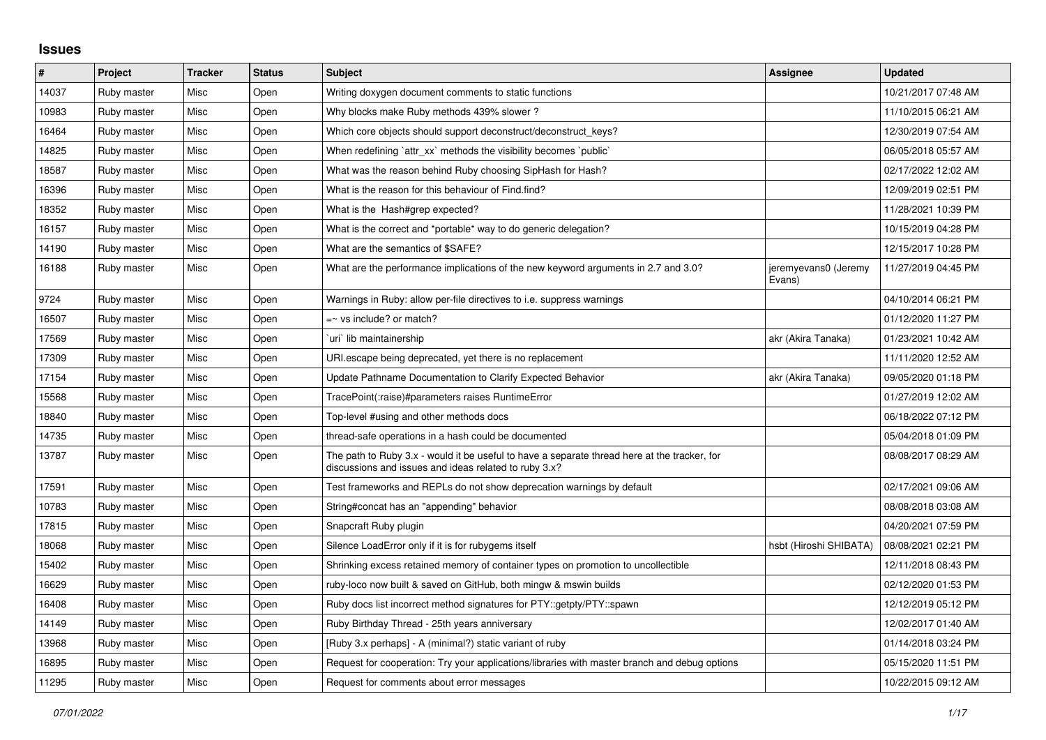## **Issues**

| $\vert$ # | Project     | <b>Tracker</b> | <b>Status</b> | <b>Subject</b>                                                                                                                                        | Assignee                       | <b>Updated</b>      |
|-----------|-------------|----------------|---------------|-------------------------------------------------------------------------------------------------------------------------------------------------------|--------------------------------|---------------------|
| 14037     | Ruby master | Misc           | Open          | Writing doxygen document comments to static functions                                                                                                 |                                | 10/21/2017 07:48 AM |
| 10983     | Ruby master | Misc           | Open          | Why blocks make Ruby methods 439% slower?                                                                                                             |                                | 11/10/2015 06:21 AM |
| 16464     | Ruby master | Misc           | Open          | Which core objects should support deconstruct/deconstruct_keys?                                                                                       |                                | 12/30/2019 07:54 AM |
| 14825     | Ruby master | Misc           | Open          | When redefining 'attr xx' methods the visibility becomes 'public'                                                                                     |                                | 06/05/2018 05:57 AM |
| 18587     | Ruby master | Misc           | Open          | What was the reason behind Ruby choosing SipHash for Hash?                                                                                            |                                | 02/17/2022 12:02 AM |
| 16396     | Ruby master | Misc           | Open          | What is the reason for this behaviour of Find.find?                                                                                                   |                                | 12/09/2019 02:51 PM |
| 18352     | Ruby master | Misc           | Open          | What is the Hash#grep expected?                                                                                                                       |                                | 11/28/2021 10:39 PM |
| 16157     | Ruby master | Misc           | Open          | What is the correct and *portable* way to do generic delegation?                                                                                      |                                | 10/15/2019 04:28 PM |
| 14190     | Ruby master | Misc           | Open          | What are the semantics of \$SAFE?                                                                                                                     |                                | 12/15/2017 10:28 PM |
| 16188     | Ruby master | Misc           | Open          | What are the performance implications of the new keyword arguments in 2.7 and 3.0?                                                                    | jeremyevans0 (Jeremy<br>Evans) | 11/27/2019 04:45 PM |
| 9724      | Ruby master | Misc           | Open          | Warnings in Ruby: allow per-file directives to i.e. suppress warnings                                                                                 |                                | 04/10/2014 06:21 PM |
| 16507     | Ruby master | Misc           | Open          | $=$ vs include? or match?                                                                                                                             |                                | 01/12/2020 11:27 PM |
| 17569     | Ruby master | Misc           | Open          | uri` lib maintainership                                                                                                                               | akr (Akira Tanaka)             | 01/23/2021 10:42 AM |
| 17309     | Ruby master | Misc           | Open          | URI escape being deprecated, yet there is no replacement                                                                                              |                                | 11/11/2020 12:52 AM |
| 17154     | Ruby master | Misc           | Open          | Update Pathname Documentation to Clarify Expected Behavior                                                                                            | akr (Akira Tanaka)             | 09/05/2020 01:18 PM |
| 15568     | Ruby master | Misc           | Open          | TracePoint(:raise)#parameters raises RuntimeError                                                                                                     |                                | 01/27/2019 12:02 AM |
| 18840     | Ruby master | Misc           | Open          | Top-level #using and other methods docs                                                                                                               |                                | 06/18/2022 07:12 PM |
| 14735     | Ruby master | Misc           | Open          | thread-safe operations in a hash could be documented                                                                                                  |                                | 05/04/2018 01:09 PM |
| 13787     | Ruby master | Misc           | Open          | The path to Ruby 3.x - would it be useful to have a separate thread here at the tracker, for<br>discussions and issues and ideas related to ruby 3.x? |                                | 08/08/2017 08:29 AM |
| 17591     | Ruby master | Misc           | Open          | Test frameworks and REPLs do not show deprecation warnings by default                                                                                 |                                | 02/17/2021 09:06 AM |
| 10783     | Ruby master | Misc           | Open          | String#concat has an "appending" behavior                                                                                                             |                                | 08/08/2018 03:08 AM |
| 17815     | Ruby master | Misc           | Open          | Snapcraft Ruby plugin                                                                                                                                 |                                | 04/20/2021 07:59 PM |
| 18068     | Ruby master | Misc           | Open          | Silence LoadError only if it is for rubygems itself                                                                                                   | hsbt (Hiroshi SHIBATA)         | 08/08/2021 02:21 PM |
| 15402     | Ruby master | Misc           | Open          | Shrinking excess retained memory of container types on promotion to uncollectible                                                                     |                                | 12/11/2018 08:43 PM |
| 16629     | Ruby master | Misc           | Open          | ruby-loco now built & saved on GitHub, both mingw & mswin builds                                                                                      |                                | 02/12/2020 01:53 PM |
| 16408     | Ruby master | Misc           | Open          | Ruby docs list incorrect method signatures for PTY::getpty/PTY::spawn                                                                                 |                                | 12/12/2019 05:12 PM |
| 14149     | Ruby master | Misc           | Open          | Ruby Birthday Thread - 25th years anniversary                                                                                                         |                                | 12/02/2017 01:40 AM |
| 13968     | Ruby master | Misc           | Open          | [Ruby 3.x perhaps] - A (minimal?) static variant of ruby                                                                                              |                                | 01/14/2018 03:24 PM |
| 16895     | Ruby master | Misc           | Open          | Request for cooperation: Try your applications/libraries with master branch and debug options                                                         |                                | 05/15/2020 11:51 PM |
| 11295     | Ruby master | Misc           | Open          | Request for comments about error messages                                                                                                             |                                | 10/22/2015 09:12 AM |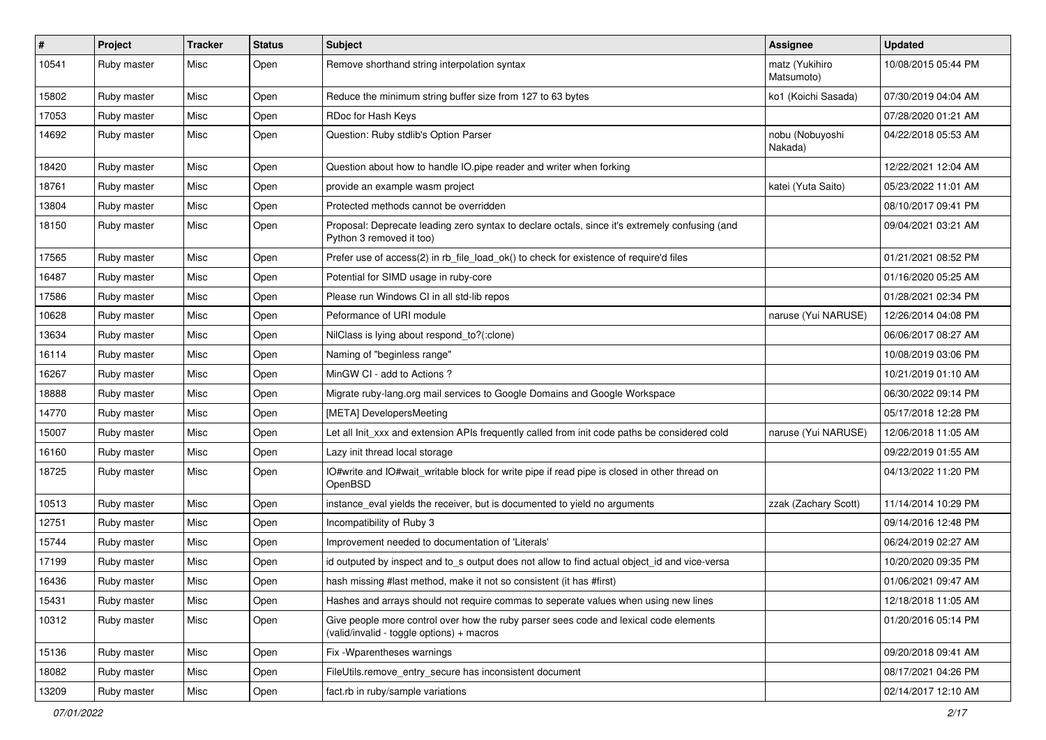| #     | Project     | <b>Tracker</b> | <b>Status</b> | Subject                                                                                                                            | Assignee                     | <b>Updated</b>      |
|-------|-------------|----------------|---------------|------------------------------------------------------------------------------------------------------------------------------------|------------------------------|---------------------|
| 10541 | Ruby master | Misc           | Open          | Remove shorthand string interpolation syntax                                                                                       | matz (Yukihiro<br>Matsumoto) | 10/08/2015 05:44 PM |
| 15802 | Ruby master | Misc           | Open          | Reduce the minimum string buffer size from 127 to 63 bytes                                                                         | ko1 (Koichi Sasada)          | 07/30/2019 04:04 AM |
| 17053 | Ruby master | Misc           | Open          | RDoc for Hash Keys                                                                                                                 |                              | 07/28/2020 01:21 AM |
| 14692 | Ruby master | Misc           | Open          | Question: Ruby stdlib's Option Parser                                                                                              | nobu (Nobuyoshi<br>Nakada)   | 04/22/2018 05:53 AM |
| 18420 | Ruby master | Misc           | Open          | Question about how to handle IO.pipe reader and writer when forking                                                                |                              | 12/22/2021 12:04 AM |
| 18761 | Ruby master | Misc           | Open          | provide an example wasm project                                                                                                    | katei (Yuta Saito)           | 05/23/2022 11:01 AM |
| 13804 | Ruby master | Misc           | Open          | Protected methods cannot be overridden                                                                                             |                              | 08/10/2017 09:41 PM |
| 18150 | Ruby master | Misc           | Open          | Proposal: Deprecate leading zero syntax to declare octals, since it's extremely confusing (and<br>Python 3 removed it too)         |                              | 09/04/2021 03:21 AM |
| 17565 | Ruby master | Misc           | Open          | Prefer use of access(2) in rb_file_load_ok() to check for existence of require'd files                                             |                              | 01/21/2021 08:52 PM |
| 16487 | Ruby master | Misc           | Open          | Potential for SIMD usage in ruby-core                                                                                              |                              | 01/16/2020 05:25 AM |
| 17586 | Ruby master | Misc           | Open          | Please run Windows CI in all std-lib repos                                                                                         |                              | 01/28/2021 02:34 PM |
| 10628 | Ruby master | Misc           | Open          | Peformance of URI module                                                                                                           | naruse (Yui NARUSE)          | 12/26/2014 04:08 PM |
| 13634 | Ruby master | Misc           | Open          | NilClass is lying about respond_to?(:clone)                                                                                        |                              | 06/06/2017 08:27 AM |
| 16114 | Ruby master | Misc           | Open          | Naming of "beginless range"                                                                                                        |                              | 10/08/2019 03:06 PM |
| 16267 | Ruby master | Misc           | Open          | MinGW CI - add to Actions?                                                                                                         |                              | 10/21/2019 01:10 AM |
| 18888 | Ruby master | Misc           | Open          | Migrate ruby-lang.org mail services to Google Domains and Google Workspace                                                         |                              | 06/30/2022 09:14 PM |
| 14770 | Ruby master | Misc           | Open          | [META] DevelopersMeeting                                                                                                           |                              | 05/17/2018 12:28 PM |
| 15007 | Ruby master | Misc           | Open          | Let all Init xxx and extension APIs frequently called from init code paths be considered cold                                      | naruse (Yui NARUSE)          | 12/06/2018 11:05 AM |
| 16160 | Ruby master | Misc           | Open          | Lazy init thread local storage                                                                                                     |                              | 09/22/2019 01:55 AM |
| 18725 | Ruby master | Misc           | Open          | IO#write and IO#wait_writable block for write pipe if read pipe is closed in other thread on<br>OpenBSD                            |                              | 04/13/2022 11:20 PM |
| 10513 | Ruby master | Misc           | Open          | instance_eval yields the receiver, but is documented to yield no arguments                                                         | zzak (Zachary Scott)         | 11/14/2014 10:29 PM |
| 12751 | Ruby master | Misc           | Open          | Incompatibility of Ruby 3                                                                                                          |                              | 09/14/2016 12:48 PM |
| 15744 | Ruby master | Misc           | Open          | Improvement needed to documentation of 'Literals'                                                                                  |                              | 06/24/2019 02:27 AM |
| 17199 | Ruby master | Misc           | Open          | id outputed by inspect and to s output does not allow to find actual object_id and vice-versa                                      |                              | 10/20/2020 09:35 PM |
| 16436 | Ruby master | Misc           | Open          | hash missing #last method, make it not so consistent (it has #first)                                                               |                              | 01/06/2021 09:47 AM |
| 15431 | Ruby master | Misc           | Open          | Hashes and arrays should not require commas to seperate values when using new lines                                                |                              | 12/18/2018 11:05 AM |
| 10312 | Ruby master | Misc           | Open          | Give people more control over how the ruby parser sees code and lexical code elements<br>(valid/invalid - toggle options) + macros |                              | 01/20/2016 05:14 PM |
| 15136 | Ruby master | Misc           | Open          | Fix - Wparentheses warnings                                                                                                        |                              | 09/20/2018 09:41 AM |
| 18082 | Ruby master | Misc           | Open          | FileUtils.remove_entry_secure has inconsistent document                                                                            |                              | 08/17/2021 04:26 PM |
| 13209 | Ruby master | Misc           | Open          | fact.rb in ruby/sample variations                                                                                                  |                              | 02/14/2017 12:10 AM |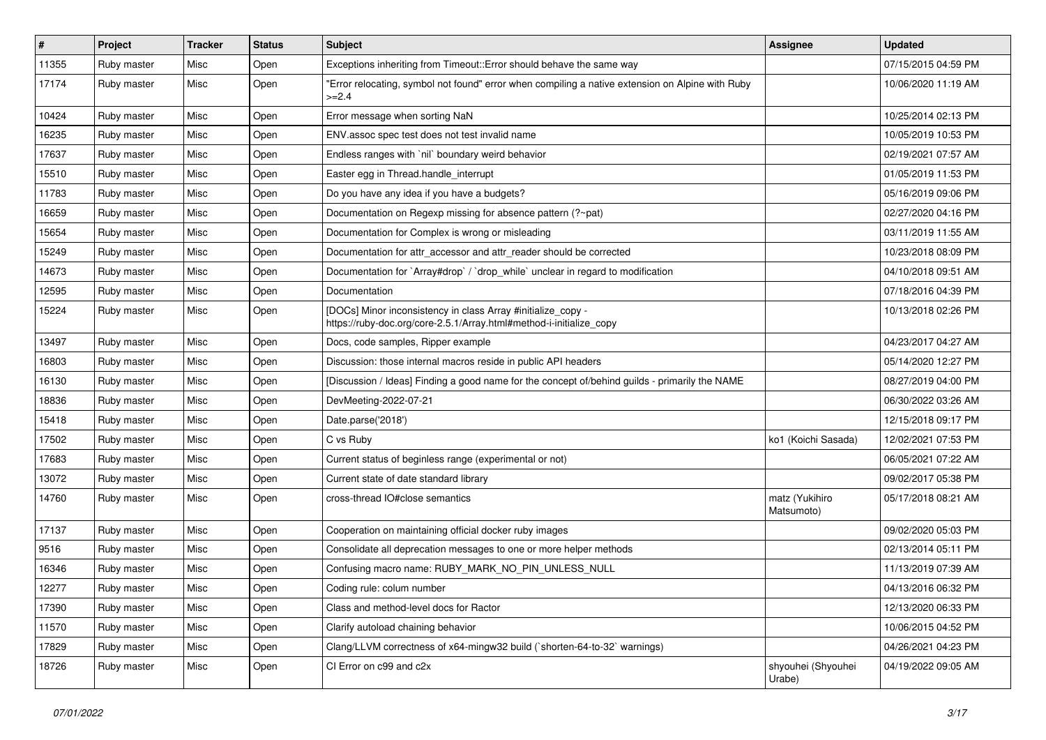| #     | Project     | <b>Tracker</b> | <b>Status</b> | Subject                                                                                                                             | Assignee                     | <b>Updated</b>      |
|-------|-------------|----------------|---------------|-------------------------------------------------------------------------------------------------------------------------------------|------------------------------|---------------------|
| 11355 | Ruby master | Misc           | Open          | Exceptions inheriting from Timeout:: Error should behave the same way                                                               |                              | 07/15/2015 04:59 PM |
| 17174 | Ruby master | Misc           | Open          | "Error relocating, symbol not found" error when compiling a native extension on Alpine with Ruby<br>$>=2.4$                         |                              | 10/06/2020 11:19 AM |
| 10424 | Ruby master | Misc           | Open          | Error message when sorting NaN                                                                                                      |                              | 10/25/2014 02:13 PM |
| 16235 | Ruby master | Misc           | Open          | ENV assoc spec test does not test invalid name                                                                                      |                              | 10/05/2019 10:53 PM |
| 17637 | Ruby master | Misc           | Open          | Endless ranges with `nil` boundary weird behavior                                                                                   |                              | 02/19/2021 07:57 AM |
| 15510 | Ruby master | Misc           | Open          | Easter egg in Thread.handle_interrupt                                                                                               |                              | 01/05/2019 11:53 PM |
| 11783 | Ruby master | Misc           | Open          | Do you have any idea if you have a budgets?                                                                                         |                              | 05/16/2019 09:06 PM |
| 16659 | Ruby master | Misc           | Open          | Documentation on Regexp missing for absence pattern (?~pat)                                                                         |                              | 02/27/2020 04:16 PM |
| 15654 | Ruby master | Misc           | Open          | Documentation for Complex is wrong or misleading                                                                                    |                              | 03/11/2019 11:55 AM |
| 15249 | Ruby master | Misc           | Open          | Documentation for attr accessor and attr reader should be corrected                                                                 |                              | 10/23/2018 08:09 PM |
| 14673 | Ruby master | Misc           | Open          | Documentation for `Array#drop` / `drop_while` unclear in regard to modification                                                     |                              | 04/10/2018 09:51 AM |
| 12595 | Ruby master | Misc           | Open          | Documentation                                                                                                                       |                              | 07/18/2016 04:39 PM |
| 15224 | Ruby master | Misc           | Open          | [DOCs] Minor inconsistency in class Array #initialize_copy -<br>https://ruby-doc.org/core-2.5.1/Array.html#method-i-initialize_copy |                              | 10/13/2018 02:26 PM |
| 13497 | Ruby master | Misc           | Open          | Docs, code samples, Ripper example                                                                                                  |                              | 04/23/2017 04:27 AM |
| 16803 | Ruby master | Misc           | Open          | Discussion: those internal macros reside in public API headers                                                                      |                              | 05/14/2020 12:27 PM |
| 16130 | Ruby master | Misc           | Open          | [Discussion / Ideas] Finding a good name for the concept of/behind guilds - primarily the NAME                                      |                              | 08/27/2019 04:00 PM |
| 18836 | Ruby master | Misc           | Open          | DevMeeting-2022-07-21                                                                                                               |                              | 06/30/2022 03:26 AM |
| 15418 | Ruby master | Misc           | Open          | Date.parse('2018')                                                                                                                  |                              | 12/15/2018 09:17 PM |
| 17502 | Ruby master | Misc           | Open          | C vs Ruby                                                                                                                           | ko1 (Koichi Sasada)          | 12/02/2021 07:53 PM |
| 17683 | Ruby master | Misc           | Open          | Current status of beginless range (experimental or not)                                                                             |                              | 06/05/2021 07:22 AM |
| 13072 | Ruby master | Misc           | Open          | Current state of date standard library                                                                                              |                              | 09/02/2017 05:38 PM |
| 14760 | Ruby master | Misc           | Open          | cross-thread IO#close semantics                                                                                                     | matz (Yukihiro<br>Matsumoto) | 05/17/2018 08:21 AM |
| 17137 | Ruby master | Misc           | Open          | Cooperation on maintaining official docker ruby images                                                                              |                              | 09/02/2020 05:03 PM |
| 9516  | Ruby master | Misc           | Open          | Consolidate all deprecation messages to one or more helper methods                                                                  |                              | 02/13/2014 05:11 PM |
| 16346 | Ruby master | Misc           | Open          | Confusing macro name: RUBY_MARK_NO_PIN_UNLESS_NULL                                                                                  |                              | 11/13/2019 07:39 AM |
| 12277 | Ruby master | Misc           | Open          | Coding rule: colum number                                                                                                           |                              | 04/13/2016 06:32 PM |
| 17390 | Ruby master | Misc           | Open          | Class and method-level docs for Ractor                                                                                              |                              | 12/13/2020 06:33 PM |
| 11570 | Ruby master | Misc           | Open          | Clarify autoload chaining behavior                                                                                                  |                              | 10/06/2015 04:52 PM |
| 17829 | Ruby master | Misc           | Open          | Clang/LLVM correctness of x64-mingw32 build (`shorten-64-to-32` warnings)                                                           |                              | 04/26/2021 04:23 PM |
| 18726 | Ruby master | Misc           | Open          | CI Error on c99 and c2x                                                                                                             | shyouhei (Shyouhei<br>Urabe) | 04/19/2022 09:05 AM |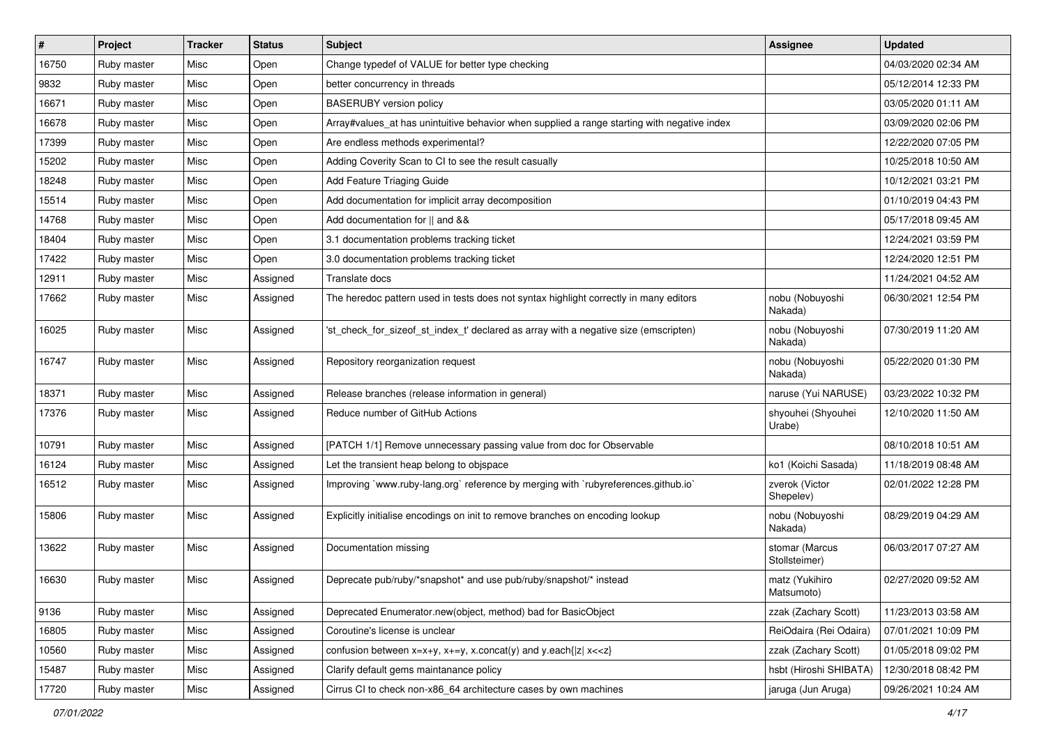| $\vert$ # | Project     | <b>Tracker</b> | <b>Status</b> | <b>Subject</b>                                                                              | <b>Assignee</b>                 | <b>Updated</b>      |
|-----------|-------------|----------------|---------------|---------------------------------------------------------------------------------------------|---------------------------------|---------------------|
| 16750     | Ruby master | Misc           | Open          | Change typedef of VALUE for better type checking                                            |                                 | 04/03/2020 02:34 AM |
| 9832      | Ruby master | Misc           | Open          | better concurrency in threads                                                               |                                 | 05/12/2014 12:33 PM |
| 16671     | Ruby master | Misc           | Open          | <b>BASERUBY</b> version policy                                                              |                                 | 03/05/2020 01:11 AM |
| 16678     | Ruby master | Misc           | Open          | Array#values_at has unintuitive behavior when supplied a range starting with negative index |                                 | 03/09/2020 02:06 PM |
| 17399     | Ruby master | Misc           | Open          | Are endless methods experimental?                                                           |                                 | 12/22/2020 07:05 PM |
| 15202     | Ruby master | Misc           | Open          | Adding Coverity Scan to CI to see the result casually                                       |                                 | 10/25/2018 10:50 AM |
| 18248     | Ruby master | Misc           | Open          | Add Feature Triaging Guide                                                                  |                                 | 10/12/2021 03:21 PM |
| 15514     | Ruby master | Misc           | Open          | Add documentation for implicit array decomposition                                          |                                 | 01/10/2019 04:43 PM |
| 14768     | Ruby master | Misc           | Open          | Add documentation for    and &&                                                             |                                 | 05/17/2018 09:45 AM |
| 18404     | Ruby master | Misc           | Open          | 3.1 documentation problems tracking ticket                                                  |                                 | 12/24/2021 03:59 PM |
| 17422     | Ruby master | Misc           | Open          | 3.0 documentation problems tracking ticket                                                  |                                 | 12/24/2020 12:51 PM |
| 12911     | Ruby master | Misc           | Assigned      | Translate docs                                                                              |                                 | 11/24/2021 04:52 AM |
| 17662     | Ruby master | Misc           | Assigned      | The heredoc pattern used in tests does not syntax highlight correctly in many editors       | nobu (Nobuyoshi<br>Nakada)      | 06/30/2021 12:54 PM |
| 16025     | Ruby master | Misc           | Assigned      | 'st check for sizeof st index t' declared as array with a negative size (emscripten)        | nobu (Nobuyoshi<br>Nakada)      | 07/30/2019 11:20 AM |
| 16747     | Ruby master | Misc           | Assigned      | Repository reorganization request                                                           | nobu (Nobuyoshi<br>Nakada)      | 05/22/2020 01:30 PM |
| 18371     | Ruby master | Misc           | Assigned      | Release branches (release information in general)                                           | naruse (Yui NARUSE)             | 03/23/2022 10:32 PM |
| 17376     | Ruby master | Misc           | Assigned      | Reduce number of GitHub Actions                                                             | shyouhei (Shyouhei<br>Urabe)    | 12/10/2020 11:50 AM |
| 10791     | Ruby master | Misc           | Assigned      | [PATCH 1/1] Remove unnecessary passing value from doc for Observable                        |                                 | 08/10/2018 10:51 AM |
| 16124     | Ruby master | Misc           | Assigned      | Let the transient heap belong to objspace                                                   | ko1 (Koichi Sasada)             | 11/18/2019 08:48 AM |
| 16512     | Ruby master | Misc           | Assigned      | Improving `www.ruby-lang.org` reference by merging with `rubyreferences.github.io`          | zverok (Victor<br>Shepelev)     | 02/01/2022 12:28 PM |
| 15806     | Ruby master | Misc           | Assigned      | Explicitly initialise encodings on init to remove branches on encoding lookup               | nobu (Nobuyoshi<br>Nakada)      | 08/29/2019 04:29 AM |
| 13622     | Ruby master | Misc           | Assigned      | Documentation missing                                                                       | stomar (Marcus<br>Stollsteimer) | 06/03/2017 07:27 AM |
| 16630     | Ruby master | Misc           | Assigned      | Deprecate pub/ruby/*snapshot* and use pub/ruby/snapshot/* instead                           | matz (Yukihiro<br>Matsumoto)    | 02/27/2020 09:52 AM |
| 9136      | Ruby master | Misc           | Assigned      | Deprecated Enumerator.new(object, method) bad for BasicObject                               | zzak (Zachary Scott)            | 11/23/2013 03:58 AM |
| 16805     | Ruby master | Misc           | Assigned      | Coroutine's license is unclear                                                              | ReiOdaira (Rei Odaira)          | 07/01/2021 10:09 PM |
| 10560     | Ruby master | Misc           | Assigned      | confusion between $x=x+y$ , $x+=y$ , x.concat(y) and y.each{ z  $x<}$                       | zzak (Zachary Scott)            | 01/05/2018 09:02 PM |
| 15487     | Ruby master | Misc           | Assigned      | Clarify default gems maintanance policy                                                     | hsbt (Hiroshi SHIBATA)          | 12/30/2018 08:42 PM |
| 17720     | Ruby master | Misc           | Assigned      | Cirrus CI to check non-x86_64 architecture cases by own machines                            | jaruga (Jun Aruga)              | 09/26/2021 10:24 AM |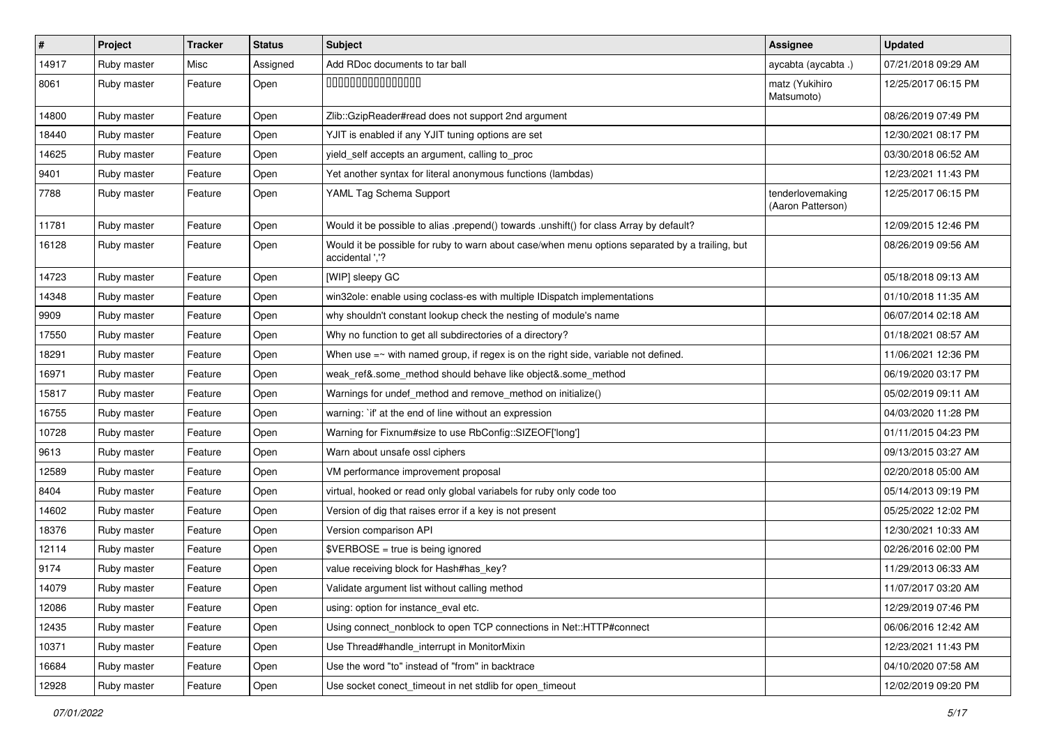| $\sharp$ | Project     | <b>Tracker</b> | <b>Status</b> | Subject                                                                                                            | Assignee                              | <b>Updated</b>      |
|----------|-------------|----------------|---------------|--------------------------------------------------------------------------------------------------------------------|---------------------------------------|---------------------|
| 14917    | Ruby master | Misc           | Assigned      | Add RDoc documents to tar ball                                                                                     | aycabta (aycabta .)                   | 07/21/2018 09:29 AM |
| 8061     | Ruby master | Feature        | Open          | 000000000000000                                                                                                    | matz (Yukihiro<br>Matsumoto)          | 12/25/2017 06:15 PM |
| 14800    | Ruby master | Feature        | Open          | Zlib::GzipReader#read does not support 2nd argument                                                                |                                       | 08/26/2019 07:49 PM |
| 18440    | Ruby master | Feature        | Open          | YJIT is enabled if any YJIT tuning options are set                                                                 |                                       | 12/30/2021 08:17 PM |
| 14625    | Ruby master | Feature        | Open          | yield_self accepts an argument, calling to_proc                                                                    |                                       | 03/30/2018 06:52 AM |
| 9401     | Ruby master | Feature        | Open          | Yet another syntax for literal anonymous functions (lambdas)                                                       |                                       | 12/23/2021 11:43 PM |
| 7788     | Ruby master | Feature        | Open          | YAML Tag Schema Support                                                                                            | tenderlovemaking<br>(Aaron Patterson) | 12/25/2017 06:15 PM |
| 11781    | Ruby master | Feature        | Open          | Would it be possible to alias .prepend() towards .unshift() for class Array by default?                            |                                       | 12/09/2015 12:46 PM |
| 16128    | Ruby master | Feature        | Open          | Would it be possible for ruby to warn about case/when menu options separated by a trailing, but<br>accidental ','? |                                       | 08/26/2019 09:56 AM |
| 14723    | Ruby master | Feature        | Open          | [WIP] sleepy GC                                                                                                    |                                       | 05/18/2018 09:13 AM |
| 14348    | Ruby master | Feature        | Open          | win32ole: enable using coclass-es with multiple IDispatch implementations                                          |                                       | 01/10/2018 11:35 AM |
| 9909     | Ruby master | Feature        | Open          | why shouldn't constant lookup check the nesting of module's name                                                   |                                       | 06/07/2014 02:18 AM |
| 17550    | Ruby master | Feature        | Open          | Why no function to get all subdirectories of a directory?                                                          |                                       | 01/18/2021 08:57 AM |
| 18291    | Ruby master | Feature        | Open          | When use $=$ with named group, if regex is on the right side, variable not defined.                                |                                       | 11/06/2021 12:36 PM |
| 16971    | Ruby master | Feature        | Open          | weak_ref&.some_method should behave like object&.some_method                                                       |                                       | 06/19/2020 03:17 PM |
| 15817    | Ruby master | Feature        | Open          | Warnings for undef_method and remove_method on initialize()                                                        |                                       | 05/02/2019 09:11 AM |
| 16755    | Ruby master | Feature        | Open          | warning: `if' at the end of line without an expression                                                             |                                       | 04/03/2020 11:28 PM |
| 10728    | Ruby master | Feature        | Open          | Warning for Fixnum#size to use RbConfig::SIZEOF['long']                                                            |                                       | 01/11/2015 04:23 PM |
| 9613     | Ruby master | Feature        | Open          | Warn about unsafe ossl ciphers                                                                                     |                                       | 09/13/2015 03:27 AM |
| 12589    | Ruby master | Feature        | Open          | VM performance improvement proposal                                                                                |                                       | 02/20/2018 05:00 AM |
| 8404     | Ruby master | Feature        | Open          | virtual, hooked or read only global variabels for ruby only code too                                               |                                       | 05/14/2013 09:19 PM |
| 14602    | Ruby master | Feature        | Open          | Version of dig that raises error if a key is not present                                                           |                                       | 05/25/2022 12:02 PM |
| 18376    | Ruby master | Feature        | Open          | Version comparison API                                                                                             |                                       | 12/30/2021 10:33 AM |
| 12114    | Ruby master | Feature        | Open          | \$VERBOSE = true is being ignored                                                                                  |                                       | 02/26/2016 02:00 PM |
| 9174     | Ruby master | Feature        | Open          | value receiving block for Hash#has_key?                                                                            |                                       | 11/29/2013 06:33 AM |
| 14079    | Ruby master | Feature        | Open          | Validate argument list without calling method                                                                      |                                       | 11/07/2017 03:20 AM |
| 12086    | Ruby master | Feature        | Open          | using: option for instance eval etc.                                                                               |                                       | 12/29/2019 07:46 PM |
| 12435    | Ruby master | Feature        | Open          | Using connect_nonblock to open TCP connections in Net::HTTP#connect                                                |                                       | 06/06/2016 12:42 AM |
| 10371    | Ruby master | Feature        | Open          | Use Thread#handle_interrupt in MonitorMixin                                                                        |                                       | 12/23/2021 11:43 PM |
| 16684    | Ruby master | Feature        | Open          | Use the word "to" instead of "from" in backtrace                                                                   |                                       | 04/10/2020 07:58 AM |
| 12928    | Ruby master | Feature        | Open          | Use socket conect_timeout in net stdlib for open_timeout                                                           |                                       | 12/02/2019 09:20 PM |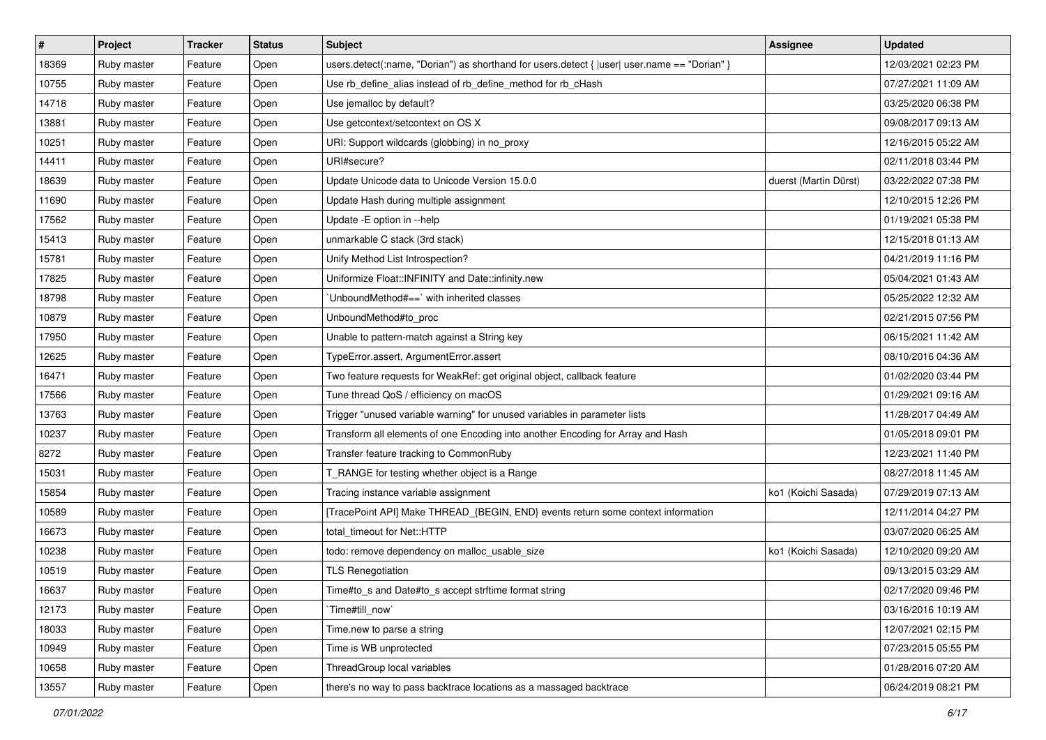| $\vert$ # | Project     | <b>Tracker</b> | <b>Status</b> | <b>Subject</b>                                                                                 | <b>Assignee</b>       | <b>Updated</b>      |
|-----------|-------------|----------------|---------------|------------------------------------------------------------------------------------------------|-----------------------|---------------------|
| 18369     | Ruby master | Feature        | Open          | users.detect(:name, "Dorian") as shorthand for users.detect { $ user $ user.name == "Dorian" } |                       | 12/03/2021 02:23 PM |
| 10755     | Ruby master | Feature        | Open          | Use rb_define_alias instead of rb_define_method for rb_cHash                                   |                       | 07/27/2021 11:09 AM |
| 14718     | Ruby master | Feature        | Open          | Use jemalloc by default?                                                                       |                       | 03/25/2020 06:38 PM |
| 13881     | Ruby master | Feature        | Open          | Use getcontext/setcontext on OS X                                                              |                       | 09/08/2017 09:13 AM |
| 10251     | Ruby master | Feature        | Open          | URI: Support wildcards (globbing) in no_proxy                                                  |                       | 12/16/2015 05:22 AM |
| 14411     | Ruby master | Feature        | Open          | URI#secure?                                                                                    |                       | 02/11/2018 03:44 PM |
| 18639     | Ruby master | Feature        | Open          | Update Unicode data to Unicode Version 15.0.0                                                  | duerst (Martin Dürst) | 03/22/2022 07:38 PM |
| 11690     | Ruby master | Feature        | Open          | Update Hash during multiple assignment                                                         |                       | 12/10/2015 12:26 PM |
| 17562     | Ruby master | Feature        | Open          | Update -E option in --help                                                                     |                       | 01/19/2021 05:38 PM |
| 15413     | Ruby master | Feature        | Open          | unmarkable C stack (3rd stack)                                                                 |                       | 12/15/2018 01:13 AM |
| 15781     | Ruby master | Feature        | Open          | Unify Method List Introspection?                                                               |                       | 04/21/2019 11:16 PM |
| 17825     | Ruby master | Feature        | Open          | Uniformize Float::INFINITY and Date::infinity.new                                              |                       | 05/04/2021 01:43 AM |
| 18798     | Ruby master | Feature        | Open          | 'UnboundMethod#==' with inherited classes                                                      |                       | 05/25/2022 12:32 AM |
| 10879     | Ruby master | Feature        | Open          | UnboundMethod#to_proc                                                                          |                       | 02/21/2015 07:56 PM |
| 17950     | Ruby master | Feature        | Open          | Unable to pattern-match against a String key                                                   |                       | 06/15/2021 11:42 AM |
| 12625     | Ruby master | Feature        | Open          | TypeError.assert, ArgumentError.assert                                                         |                       | 08/10/2016 04:36 AM |
| 16471     | Ruby master | Feature        | Open          | Two feature requests for WeakRef: get original object, callback feature                        |                       | 01/02/2020 03:44 PM |
| 17566     | Ruby master | Feature        | Open          | Tune thread QoS / efficiency on macOS                                                          |                       | 01/29/2021 09:16 AM |
| 13763     | Ruby master | Feature        | Open          | Trigger "unused variable warning" for unused variables in parameter lists                      |                       | 11/28/2017 04:49 AM |
| 10237     | Ruby master | Feature        | Open          | Transform all elements of one Encoding into another Encoding for Array and Hash                |                       | 01/05/2018 09:01 PM |
| 8272      | Ruby master | Feature        | Open          | Transfer feature tracking to CommonRuby                                                        |                       | 12/23/2021 11:40 PM |
| 15031     | Ruby master | Feature        | Open          | T_RANGE for testing whether object is a Range                                                  |                       | 08/27/2018 11:45 AM |
| 15854     | Ruby master | Feature        | Open          | Tracing instance variable assignment                                                           | ko1 (Koichi Sasada)   | 07/29/2019 07:13 AM |
| 10589     | Ruby master | Feature        | Open          | [TracePoint API] Make THREAD_{BEGIN, END} events return some context information               |                       | 12/11/2014 04:27 PM |
| 16673     | Ruby master | Feature        | Open          | total_timeout for Net::HTTP                                                                    |                       | 03/07/2020 06:25 AM |
| 10238     | Ruby master | Feature        | Open          | todo: remove dependency on malloc_usable_size                                                  | ko1 (Koichi Sasada)   | 12/10/2020 09:20 AM |
| 10519     | Ruby master | Feature        | Open          | <b>TLS Renegotiation</b>                                                                       |                       | 09/13/2015 03:29 AM |
| 16637     | Ruby master | Feature        | Open          | Time#to_s and Date#to_s accept strftime format string                                          |                       | 02/17/2020 09:46 PM |
| 12173     | Ruby master | Feature        | Open          | `Time#till now`                                                                                |                       | 03/16/2016 10:19 AM |
| 18033     | Ruby master | Feature        | Open          | Time.new to parse a string                                                                     |                       | 12/07/2021 02:15 PM |
| 10949     | Ruby master | Feature        | Open          | Time is WB unprotected                                                                         |                       | 07/23/2015 05:55 PM |
| 10658     | Ruby master | Feature        | Open          | ThreadGroup local variables                                                                    |                       | 01/28/2016 07:20 AM |
| 13557     | Ruby master | Feature        | Open          | there's no way to pass backtrace locations as a massaged backtrace                             |                       | 06/24/2019 08:21 PM |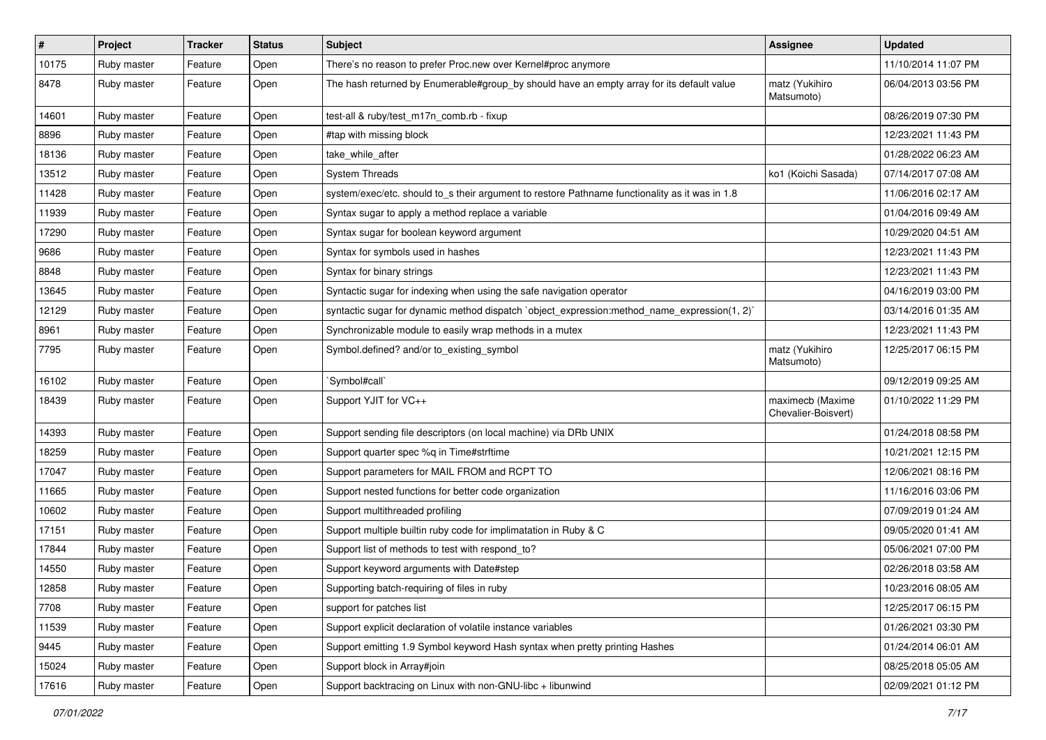| $\sharp$ | Project     | <b>Tracker</b> | <b>Status</b> | Subject                                                                                        | Assignee                                | <b>Updated</b>      |
|----------|-------------|----------------|---------------|------------------------------------------------------------------------------------------------|-----------------------------------------|---------------------|
| 10175    | Ruby master | Feature        | Open          | There's no reason to prefer Proc.new over Kernel#proc anymore                                  |                                         | 11/10/2014 11:07 PM |
| 8478     | Ruby master | Feature        | Open          | The hash returned by Enumerable#group_by should have an empty array for its default value      | matz (Yukihiro<br>Matsumoto)            | 06/04/2013 03:56 PM |
| 14601    | Ruby master | Feature        | Open          | test-all & ruby/test_m17n_comb.rb - fixup                                                      |                                         | 08/26/2019 07:30 PM |
| 8896     | Ruby master | Feature        | Open          | #tap with missing block                                                                        |                                         | 12/23/2021 11:43 PM |
| 18136    | Ruby master | Feature        | Open          | take_while_after                                                                               |                                         | 01/28/2022 06:23 AM |
| 13512    | Ruby master | Feature        | Open          | <b>System Threads</b>                                                                          | ko1 (Koichi Sasada)                     | 07/14/2017 07:08 AM |
| 11428    | Ruby master | Feature        | Open          | system/exec/etc. should to_s their argument to restore Pathname functionality as it was in 1.8 |                                         | 11/06/2016 02:17 AM |
| 11939    | Ruby master | Feature        | Open          | Syntax sugar to apply a method replace a variable                                              |                                         | 01/04/2016 09:49 AM |
| 17290    | Ruby master | Feature        | Open          | Syntax sugar for boolean keyword argument                                                      |                                         | 10/29/2020 04:51 AM |
| 9686     | Ruby master | Feature        | Open          | Syntax for symbols used in hashes                                                              |                                         | 12/23/2021 11:43 PM |
| 8848     | Ruby master | Feature        | Open          | Syntax for binary strings                                                                      |                                         | 12/23/2021 11:43 PM |
| 13645    | Ruby master | Feature        | Open          | Syntactic sugar for indexing when using the safe navigation operator                           |                                         | 04/16/2019 03:00 PM |
| 12129    | Ruby master | Feature        | Open          | syntactic sugar for dynamic method dispatch `object_expression:method_name_expression(1, 2)`   |                                         | 03/14/2016 01:35 AM |
| 8961     | Ruby master | Feature        | Open          | Synchronizable module to easily wrap methods in a mutex                                        |                                         | 12/23/2021 11:43 PM |
| 7795     | Ruby master | Feature        | Open          | Symbol.defined? and/or to_existing_symbol                                                      | matz (Yukihiro<br>Matsumoto)            | 12/25/2017 06:15 PM |
| 16102    | Ruby master | Feature        | Open          | `Symbol#call`                                                                                  |                                         | 09/12/2019 09:25 AM |
| 18439    | Ruby master | Feature        | Open          | Support YJIT for VC++                                                                          | maximecb (Maxime<br>Chevalier-Boisvert) | 01/10/2022 11:29 PM |
| 14393    | Ruby master | Feature        | Open          | Support sending file descriptors (on local machine) via DRb UNIX                               |                                         | 01/24/2018 08:58 PM |
| 18259    | Ruby master | Feature        | Open          | Support quarter spec %q in Time#strftime                                                       |                                         | 10/21/2021 12:15 PM |
| 17047    | Ruby master | Feature        | Open          | Support parameters for MAIL FROM and RCPT TO                                                   |                                         | 12/06/2021 08:16 PM |
| 11665    | Ruby master | Feature        | Open          | Support nested functions for better code organization                                          |                                         | 11/16/2016 03:06 PM |
| 10602    | Ruby master | Feature        | Open          | Support multithreaded profiling                                                                |                                         | 07/09/2019 01:24 AM |
| 17151    | Ruby master | Feature        | Open          | Support multiple builtin ruby code for implimatation in Ruby & C                               |                                         | 09/05/2020 01:41 AM |
| 17844    | Ruby master | Feature        | Open          | Support list of methods to test with respond_to?                                               |                                         | 05/06/2021 07:00 PM |
| 14550    | Ruby master | Feature        | Open          | Support keyword arguments with Date#step                                                       |                                         | 02/26/2018 03:58 AM |
| 12858    | Ruby master | Feature        | Open          | Supporting batch-requiring of files in ruby                                                    |                                         | 10/23/2016 08:05 AM |
| 7708     | Ruby master | Feature        | Open          | support for patches list                                                                       |                                         | 12/25/2017 06:15 PM |
| 11539    | Ruby master | Feature        | Open          | Support explicit declaration of volatile instance variables                                    |                                         | 01/26/2021 03:30 PM |
| 9445     | Ruby master | Feature        | Open          | Support emitting 1.9 Symbol keyword Hash syntax when pretty printing Hashes                    |                                         | 01/24/2014 06:01 AM |
| 15024    | Ruby master | Feature        | Open          | Support block in Array#join                                                                    |                                         | 08/25/2018 05:05 AM |
| 17616    | Ruby master | Feature        | Open          | Support backtracing on Linux with non-GNU-libc + libunwind                                     |                                         | 02/09/2021 01:12 PM |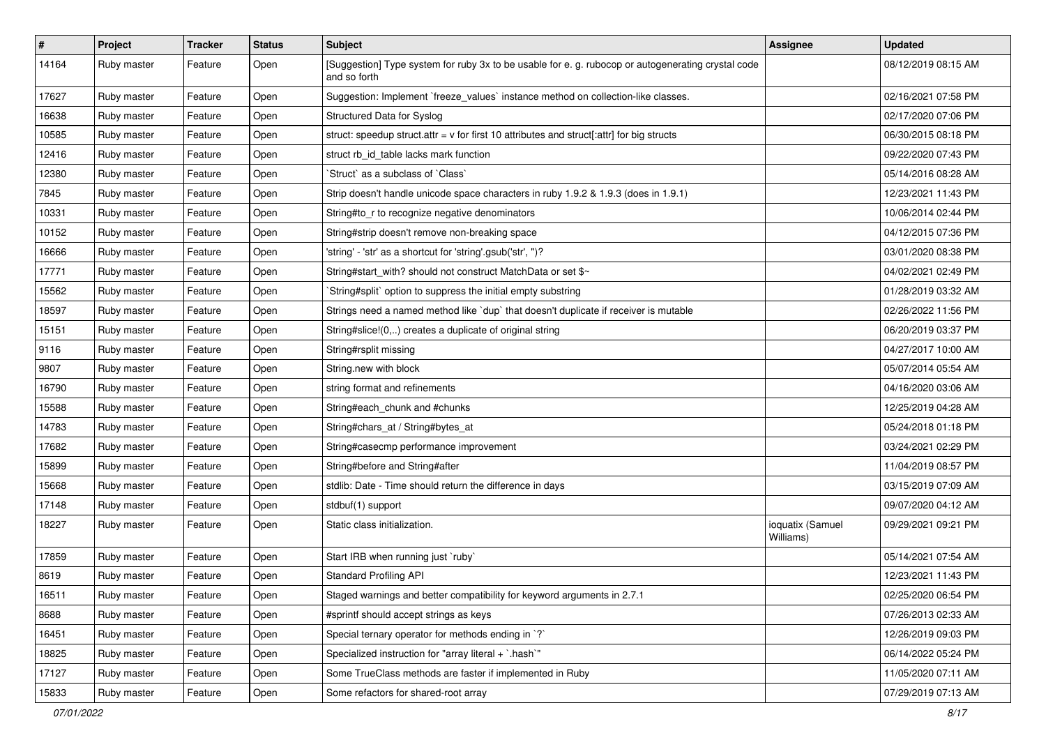| $\pmb{\#}$ | Project     | <b>Tracker</b> | <b>Status</b> | Subject                                                                                                            | <b>Assignee</b>               | <b>Updated</b>      |
|------------|-------------|----------------|---------------|--------------------------------------------------------------------------------------------------------------------|-------------------------------|---------------------|
| 14164      | Ruby master | Feature        | Open          | [Suggestion] Type system for ruby 3x to be usable for e. g. rubocop or autogenerating crystal code<br>and so forth |                               | 08/12/2019 08:15 AM |
| 17627      | Ruby master | Feature        | Open          | Suggestion: Implement `freeze_values` instance method on collection-like classes.                                  |                               | 02/16/2021 07:58 PM |
| 16638      | Ruby master | Feature        | Open          | Structured Data for Syslog                                                                                         |                               | 02/17/2020 07:06 PM |
| 10585      | Ruby master | Feature        | Open          | struct: speedup struct.attr = $v$ for first 10 attributes and struct[:attr] for big structs                        |                               | 06/30/2015 08:18 PM |
| 12416      | Ruby master | Feature        | Open          | struct rb id table lacks mark function                                                                             |                               | 09/22/2020 07:43 PM |
| 12380      | Ruby master | Feature        | Open          | 'Struct' as a subclass of 'Class'                                                                                  |                               | 05/14/2016 08:28 AM |
| 7845       | Ruby master | Feature        | Open          | Strip doesn't handle unicode space characters in ruby 1.9.2 & 1.9.3 (does in 1.9.1)                                |                               | 12/23/2021 11:43 PM |
| 10331      | Ruby master | Feature        | Open          | String#to_r to recognize negative denominators                                                                     |                               | 10/06/2014 02:44 PM |
| 10152      | Ruby master | Feature        | Open          | String#strip doesn't remove non-breaking space                                                                     |                               | 04/12/2015 07:36 PM |
| 16666      | Ruby master | Feature        | Open          | 'string' - 'str' as a shortcut for 'string'.gsub('str', ")?                                                        |                               | 03/01/2020 08:38 PM |
| 17771      | Ruby master | Feature        | Open          | String#start_with? should not construct MatchData or set \$~                                                       |                               | 04/02/2021 02:49 PM |
| 15562      | Ruby master | Feature        | Open          | String#split` option to suppress the initial empty substring                                                       |                               | 01/28/2019 03:32 AM |
| 18597      | Ruby master | Feature        | Open          | Strings need a named method like 'dup' that doesn't duplicate if receiver is mutable                               |                               | 02/26/2022 11:56 PM |
| 15151      | Ruby master | Feature        | Open          | String#slice!(0,) creates a duplicate of original string                                                           |                               | 06/20/2019 03:37 PM |
| 9116       | Ruby master | Feature        | Open          | String#rsplit missing                                                                                              |                               | 04/27/2017 10:00 AM |
| 9807       | Ruby master | Feature        | Open          | String.new with block                                                                                              |                               | 05/07/2014 05:54 AM |
| 16790      | Ruby master | Feature        | Open          | string format and refinements                                                                                      |                               | 04/16/2020 03:06 AM |
| 15588      | Ruby master | Feature        | Open          | String#each_chunk and #chunks                                                                                      |                               | 12/25/2019 04:28 AM |
| 14783      | Ruby master | Feature        | Open          | String#chars_at / String#bytes_at                                                                                  |                               | 05/24/2018 01:18 PM |
| 17682      | Ruby master | Feature        | Open          | String#casecmp performance improvement                                                                             |                               | 03/24/2021 02:29 PM |
| 15899      | Ruby master | Feature        | Open          | String#before and String#after                                                                                     |                               | 11/04/2019 08:57 PM |
| 15668      | Ruby master | Feature        | Open          | stdlib: Date - Time should return the difference in days                                                           |                               | 03/15/2019 07:09 AM |
| 17148      | Ruby master | Feature        | Open          | stdbuf(1) support                                                                                                  |                               | 09/07/2020 04:12 AM |
| 18227      | Ruby master | Feature        | Open          | Static class initialization.                                                                                       | ioquatix (Samuel<br>Williams) | 09/29/2021 09:21 PM |
| 17859      | Ruby master | Feature        | Open          | Start IRB when running just `ruby`                                                                                 |                               | 05/14/2021 07:54 AM |
| 8619       | Ruby master | Feature        | Open          | <b>Standard Profiling API</b>                                                                                      |                               | 12/23/2021 11:43 PM |
| 16511      | Ruby master | Feature        | Open          | Staged warnings and better compatibility for keyword arguments in 2.7.1                                            |                               | 02/25/2020 06:54 PM |
| 8688       | Ruby master | Feature        | Open          | #sprintf should accept strings as keys                                                                             |                               | 07/26/2013 02:33 AM |
| 16451      | Ruby master | Feature        | Open          | Special ternary operator for methods ending in `?`                                                                 |                               | 12/26/2019 09:03 PM |
| 18825      | Ruby master | Feature        | Open          | Specialized instruction for "array literal + `.hash`"                                                              |                               | 06/14/2022 05:24 PM |
| 17127      | Ruby master | Feature        | Open          | Some TrueClass methods are faster if implemented in Ruby                                                           |                               | 11/05/2020 07:11 AM |
| 15833      | Ruby master | Feature        | Open          | Some refactors for shared-root array                                                                               |                               | 07/29/2019 07:13 AM |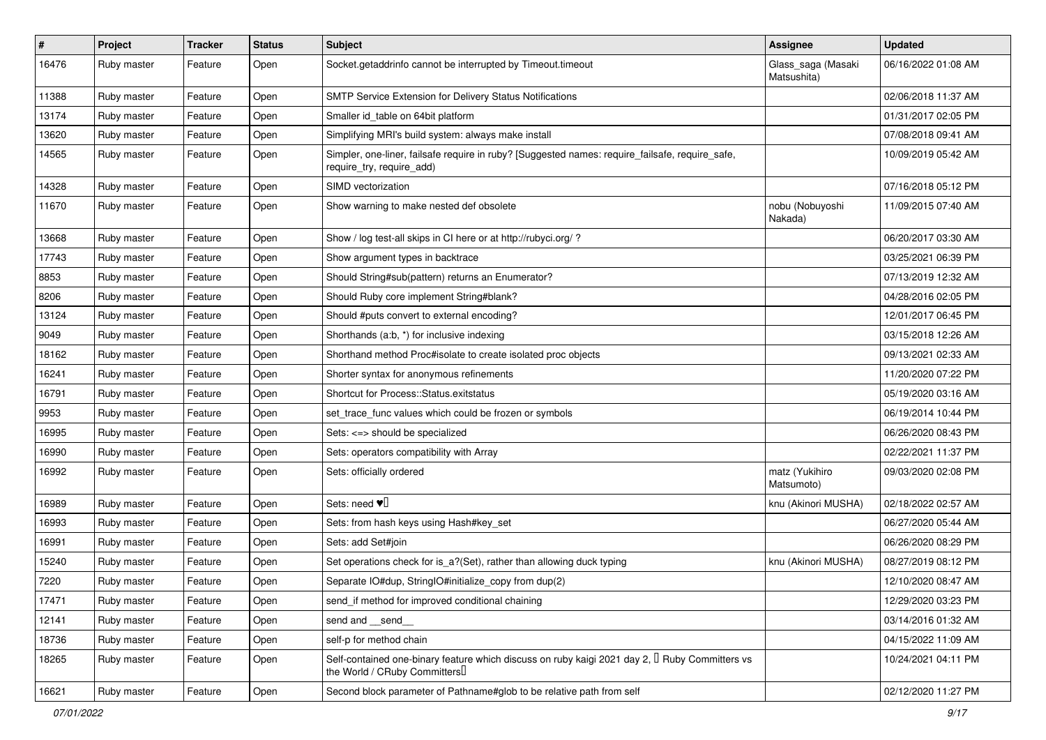| $\vert$ # | Project     | <b>Tracker</b> | <b>Status</b> | <b>Subject</b>                                                                                                                      | Assignee                          | <b>Updated</b>      |
|-----------|-------------|----------------|---------------|-------------------------------------------------------------------------------------------------------------------------------------|-----------------------------------|---------------------|
| 16476     | Ruby master | Feature        | Open          | Socket.getaddrinfo cannot be interrupted by Timeout.timeout                                                                         | Glass_saga (Masaki<br>Matsushita) | 06/16/2022 01:08 AM |
| 11388     | Ruby master | Feature        | Open          | SMTP Service Extension for Delivery Status Notifications                                                                            |                                   | 02/06/2018 11:37 AM |
| 13174     | Ruby master | Feature        | Open          | Smaller id table on 64bit platform                                                                                                  |                                   | 01/31/2017 02:05 PM |
| 13620     | Ruby master | Feature        | Open          | Simplifying MRI's build system: always make install                                                                                 |                                   | 07/08/2018 09:41 AM |
| 14565     | Ruby master | Feature        | Open          | Simpler, one-liner, failsafe require in ruby? [Suggested names: require_failsafe, require_safe,<br>require_try, require_add)        |                                   | 10/09/2019 05:42 AM |
| 14328     | Ruby master | Feature        | Open          | SIMD vectorization                                                                                                                  |                                   | 07/16/2018 05:12 PM |
| 11670     | Ruby master | Feature        | Open          | Show warning to make nested def obsolete                                                                                            | nobu (Nobuyoshi<br>Nakada)        | 11/09/2015 07:40 AM |
| 13668     | Ruby master | Feature        | Open          | Show / log test-all skips in CI here or at http://rubyci.org/ ?                                                                     |                                   | 06/20/2017 03:30 AM |
| 17743     | Ruby master | Feature        | Open          | Show argument types in backtrace                                                                                                    |                                   | 03/25/2021 06:39 PM |
| 8853      | Ruby master | Feature        | Open          | Should String#sub(pattern) returns an Enumerator?                                                                                   |                                   | 07/13/2019 12:32 AM |
| 8206      | Ruby master | Feature        | Open          | Should Ruby core implement String#blank?                                                                                            |                                   | 04/28/2016 02:05 PM |
| 13124     | Ruby master | Feature        | Open          | Should #puts convert to external encoding?                                                                                          |                                   | 12/01/2017 06:45 PM |
| 9049      | Ruby master | Feature        | Open          | Shorthands (a:b, *) for inclusive indexing                                                                                          |                                   | 03/15/2018 12:26 AM |
| 18162     | Ruby master | Feature        | Open          | Shorthand method Proc#isolate to create isolated proc objects                                                                       |                                   | 09/13/2021 02:33 AM |
| 16241     | Ruby master | Feature        | Open          | Shorter syntax for anonymous refinements                                                                                            |                                   | 11/20/2020 07:22 PM |
| 16791     | Ruby master | Feature        | Open          | Shortcut for Process::Status.exitstatus                                                                                             |                                   | 05/19/2020 03:16 AM |
| 9953      | Ruby master | Feature        | Open          | set_trace_func values which could be frozen or symbols                                                                              |                                   | 06/19/2014 10:44 PM |
| 16995     | Ruby master | Feature        | Open          | Sets: <=> should be specialized                                                                                                     |                                   | 06/26/2020 08:43 PM |
| 16990     | Ruby master | Feature        | Open          | Sets: operators compatibility with Array                                                                                            |                                   | 02/22/2021 11:37 PM |
| 16992     | Ruby master | Feature        | Open          | Sets: officially ordered                                                                                                            | matz (Yukihiro<br>Matsumoto)      | 09/03/2020 02:08 PM |
| 16989     | Ruby master | Feature        | Open          | Sets: need $\Psi$                                                                                                                   | knu (Akinori MUSHA)               | 02/18/2022 02:57 AM |
| 16993     | Ruby master | Feature        | Open          | Sets: from hash keys using Hash#key_set                                                                                             |                                   | 06/27/2020 05:44 AM |
| 16991     | Ruby master | Feature        | Open          | Sets: add Set#join                                                                                                                  |                                   | 06/26/2020 08:29 PM |
| 15240     | Ruby master | Feature        | Open          | Set operations check for is_a?(Set), rather than allowing duck typing                                                               | knu (Akinori MUSHA)               | 08/27/2019 08:12 PM |
| 7220      | Ruby master | Feature        | Open          | Separate IO#dup, StringIO#initialize_copy from dup(2)                                                                               |                                   | 12/10/2020 08:47 AM |
| 17471     | Ruby master | Feature        | Open          | send if method for improved conditional chaining                                                                                    |                                   | 12/29/2020 03:23 PM |
| 12141     | Ruby master | Feature        | Open          | send and __send_                                                                                                                    |                                   | 03/14/2016 01:32 AM |
| 18736     | Ruby master | Feature        | Open          | self-p for method chain                                                                                                             |                                   | 04/15/2022 11:09 AM |
| 18265     | Ruby master | Feature        | Open          | Self-contained one-binary feature which discuss on ruby kaigi 2021 day 2, $\Box$ Ruby Committers vs<br>the World / CRuby Committers |                                   | 10/24/2021 04:11 PM |
| 16621     | Ruby master | Feature        | Open          | Second block parameter of Pathname#glob to be relative path from self                                                               |                                   | 02/12/2020 11:27 PM |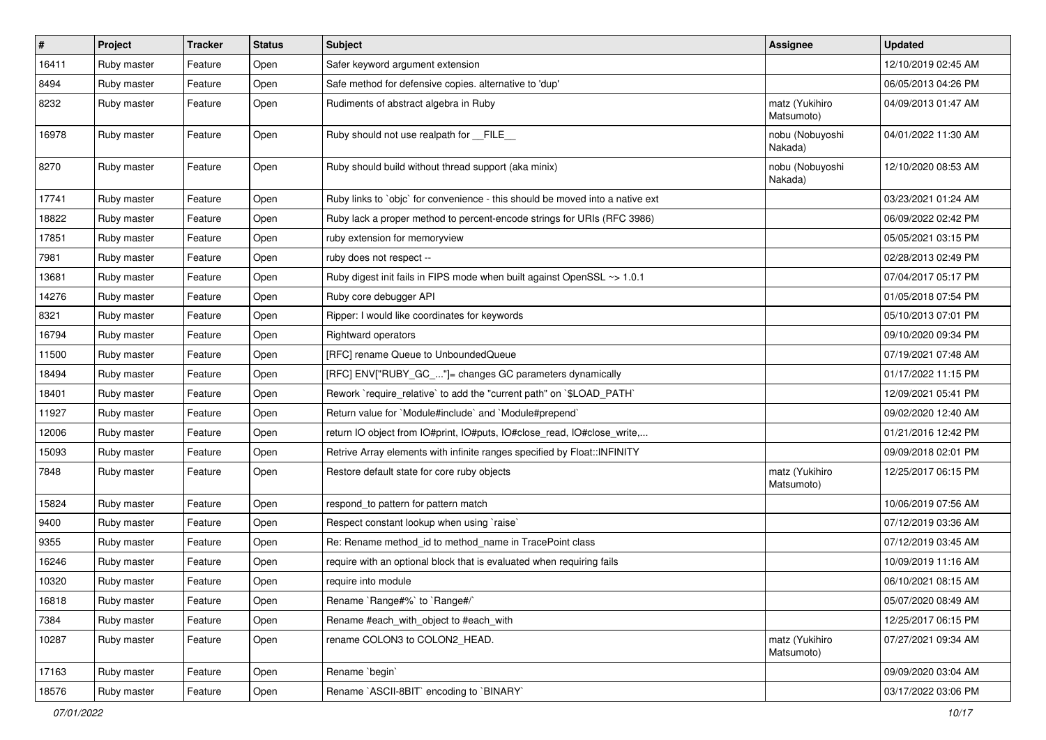| #     | Project     | <b>Tracker</b> | <b>Status</b> | Subject                                                                       | Assignee                     | <b>Updated</b>      |
|-------|-------------|----------------|---------------|-------------------------------------------------------------------------------|------------------------------|---------------------|
| 16411 | Ruby master | Feature        | Open          | Safer keyword argument extension                                              |                              | 12/10/2019 02:45 AM |
| 8494  | Ruby master | Feature        | Open          | Safe method for defensive copies. alternative to 'dup'                        |                              | 06/05/2013 04:26 PM |
| 8232  | Ruby master | Feature        | Open          | Rudiments of abstract algebra in Ruby                                         | matz (Yukihiro<br>Matsumoto) | 04/09/2013 01:47 AM |
| 16978 | Ruby master | Feature        | Open          | Ruby should not use realpath for __FILE_                                      | nobu (Nobuyoshi<br>Nakada)   | 04/01/2022 11:30 AM |
| 8270  | Ruby master | Feature        | Open          | Ruby should build without thread support (aka minix)                          | nobu (Nobuyoshi<br>Nakada)   | 12/10/2020 08:53 AM |
| 17741 | Ruby master | Feature        | Open          | Ruby links to `objc` for convenience - this should be moved into a native ext |                              | 03/23/2021 01:24 AM |
| 18822 | Ruby master | Feature        | Open          | Ruby lack a proper method to percent-encode strings for URIs (RFC 3986)       |                              | 06/09/2022 02:42 PM |
| 17851 | Ruby master | Feature        | Open          | ruby extension for memoryview                                                 |                              | 05/05/2021 03:15 PM |
| 7981  | Ruby master | Feature        | Open          | ruby does not respect --                                                      |                              | 02/28/2013 02:49 PM |
| 13681 | Ruby master | Feature        | Open          | Ruby digest init fails in FIPS mode when built against OpenSSL ~> 1.0.1       |                              | 07/04/2017 05:17 PM |
| 14276 | Ruby master | Feature        | Open          | Ruby core debugger API                                                        |                              | 01/05/2018 07:54 PM |
| 8321  | Ruby master | Feature        | Open          | Ripper: I would like coordinates for keywords                                 |                              | 05/10/2013 07:01 PM |
| 16794 | Ruby master | Feature        | Open          | <b>Rightward operators</b>                                                    |                              | 09/10/2020 09:34 PM |
| 11500 | Ruby master | Feature        | Open          | [RFC] rename Queue to UnboundedQueue                                          |                              | 07/19/2021 07:48 AM |
| 18494 | Ruby master | Feature        | Open          | [RFC] ENV["RUBY_GC_"]= changes GC parameters dynamically                      |                              | 01/17/2022 11:15 PM |
| 18401 | Ruby master | Feature        | Open          | Rework `require relative` to add the "current path" on `\$LOAD PATH`          |                              | 12/09/2021 05:41 PM |
| 11927 | Ruby master | Feature        | Open          | Return value for `Module#include` and `Module#prepend`                        |                              | 09/02/2020 12:40 AM |
| 12006 | Ruby master | Feature        | Open          | return IO object from IO#print, IO#puts, IO#close_read, IO#close_write,       |                              | 01/21/2016 12:42 PM |
| 15093 | Ruby master | Feature        | Open          | Retrive Array elements with infinite ranges specified by Float::INFINITY      |                              | 09/09/2018 02:01 PM |
| 7848  | Ruby master | Feature        | Open          | Restore default state for core ruby objects                                   | matz (Yukihiro<br>Matsumoto) | 12/25/2017 06:15 PM |
| 15824 | Ruby master | Feature        | Open          | respond_to pattern for pattern match                                          |                              | 10/06/2019 07:56 AM |
| 9400  | Ruby master | Feature        | Open          | Respect constant lookup when using 'raise'                                    |                              | 07/12/2019 03:36 AM |
| 9355  | Ruby master | Feature        | Open          | Re: Rename method_id to method_name in TracePoint class                       |                              | 07/12/2019 03:45 AM |
| 16246 | Ruby master | Feature        | Open          | require with an optional block that is evaluated when requiring fails         |                              | 10/09/2019 11:16 AM |
| 10320 | Ruby master | Feature        | Open          | require into module                                                           |                              | 06/10/2021 08:15 AM |
| 16818 | Ruby master | Feature        | Open          | Rename `Range#%` to `Range#/`                                                 |                              | 05/07/2020 08:49 AM |
| 7384  | Ruby master | Feature        | Open          | Rename #each_with_object to #each_with                                        |                              | 12/25/2017 06:15 PM |
| 10287 | Ruby master | Feature        | Open          | rename COLON3 to COLON2_HEAD.                                                 | matz (Yukihiro<br>Matsumoto) | 07/27/2021 09:34 AM |
| 17163 | Ruby master | Feature        | Open          | Rename `begin`                                                                |                              | 09/09/2020 03:04 AM |
| 18576 | Ruby master | Feature        | Open          | Rename `ASCII-8BIT` encoding to `BINARY`                                      |                              | 03/17/2022 03:06 PM |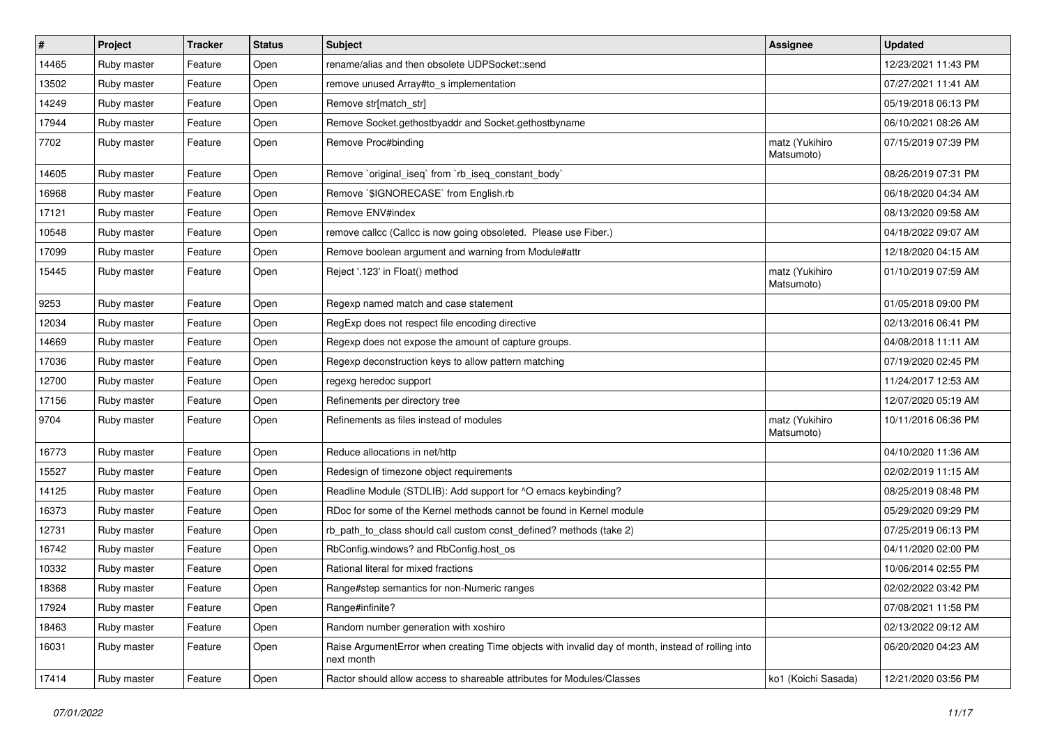| #     | Project     | <b>Tracker</b> | <b>Status</b> | Subject                                                                                                         | <b>Assignee</b>              | <b>Updated</b>      |
|-------|-------------|----------------|---------------|-----------------------------------------------------------------------------------------------------------------|------------------------------|---------------------|
| 14465 | Ruby master | Feature        | Open          | rename/alias and then obsolete UDPSocket::send                                                                  |                              | 12/23/2021 11:43 PM |
| 13502 | Ruby master | Feature        | Open          | remove unused Array#to_s implementation                                                                         |                              | 07/27/2021 11:41 AM |
| 14249 | Ruby master | Feature        | Open          | Remove str[match_str]                                                                                           |                              | 05/19/2018 06:13 PM |
| 17944 | Ruby master | Feature        | Open          | Remove Socket.gethostbyaddr and Socket.gethostbyname                                                            |                              | 06/10/2021 08:26 AM |
| 7702  | Ruby master | Feature        | Open          | Remove Proc#binding                                                                                             | matz (Yukihiro<br>Matsumoto) | 07/15/2019 07:39 PM |
| 14605 | Ruby master | Feature        | Open          | Remove `original_iseq` from `rb_iseq_constant_body`                                                             |                              | 08/26/2019 07:31 PM |
| 16968 | Ruby master | Feature        | Open          | Remove `\$IGNORECASE` from English.rb                                                                           |                              | 06/18/2020 04:34 AM |
| 17121 | Ruby master | Feature        | Open          | Remove ENV#index                                                                                                |                              | 08/13/2020 09:58 AM |
| 10548 | Ruby master | Feature        | Open          | remove callcc (Callcc is now going obsoleted. Please use Fiber.)                                                |                              | 04/18/2022 09:07 AM |
| 17099 | Ruby master | Feature        | Open          | Remove boolean argument and warning from Module#attr                                                            |                              | 12/18/2020 04:15 AM |
| 15445 | Ruby master | Feature        | Open          | Reject '.123' in Float() method                                                                                 | matz (Yukihiro<br>Matsumoto) | 01/10/2019 07:59 AM |
| 9253  | Ruby master | Feature        | Open          | Regexp named match and case statement                                                                           |                              | 01/05/2018 09:00 PM |
| 12034 | Ruby master | Feature        | Open          | RegExp does not respect file encoding directive                                                                 |                              | 02/13/2016 06:41 PM |
| 14669 | Ruby master | Feature        | Open          | Regexp does not expose the amount of capture groups.                                                            |                              | 04/08/2018 11:11 AM |
| 17036 | Ruby master | Feature        | Open          | Regexp deconstruction keys to allow pattern matching                                                            |                              | 07/19/2020 02:45 PM |
| 12700 | Ruby master | Feature        | Open          | regexg heredoc support                                                                                          |                              | 11/24/2017 12:53 AM |
| 17156 | Ruby master | Feature        | Open          | Refinements per directory tree                                                                                  |                              | 12/07/2020 05:19 AM |
| 9704  | Ruby master | Feature        | Open          | Refinements as files instead of modules                                                                         | matz (Yukihiro<br>Matsumoto) | 10/11/2016 06:36 PM |
| 16773 | Ruby master | Feature        | Open          | Reduce allocations in net/http                                                                                  |                              | 04/10/2020 11:36 AM |
| 15527 | Ruby master | Feature        | Open          | Redesign of timezone object requirements                                                                        |                              | 02/02/2019 11:15 AM |
| 14125 | Ruby master | Feature        | Open          | Readline Module (STDLIB): Add support for ^O emacs keybinding?                                                  |                              | 08/25/2019 08:48 PM |
| 16373 | Ruby master | Feature        | Open          | RDoc for some of the Kernel methods cannot be found in Kernel module                                            |                              | 05/29/2020 09:29 PM |
| 12731 | Ruby master | Feature        | Open          | rb_path_to_class should call custom const_defined? methods (take 2)                                             |                              | 07/25/2019 06:13 PM |
| 16742 | Ruby master | Feature        | Open          | RbConfig.windows? and RbConfig.host_os                                                                          |                              | 04/11/2020 02:00 PM |
| 10332 | Ruby master | Feature        | Open          | Rational literal for mixed fractions                                                                            |                              | 10/06/2014 02:55 PM |
| 18368 | Ruby master | Feature        | Open          | Range#step semantics for non-Numeric ranges                                                                     |                              | 02/02/2022 03:42 PM |
| 17924 | Ruby master | Feature        | Open          | Range#infinite?                                                                                                 |                              | 07/08/2021 11:58 PM |
| 18463 | Ruby master | Feature        | Open          | Random number generation with xoshiro                                                                           |                              | 02/13/2022 09:12 AM |
| 16031 | Ruby master | Feature        | Open          | Raise ArgumentError when creating Time objects with invalid day of month, instead of rolling into<br>next month |                              | 06/20/2020 04:23 AM |
| 17414 | Ruby master | Feature        | Open          | Ractor should allow access to shareable attributes for Modules/Classes                                          | ko1 (Koichi Sasada)          | 12/21/2020 03:56 PM |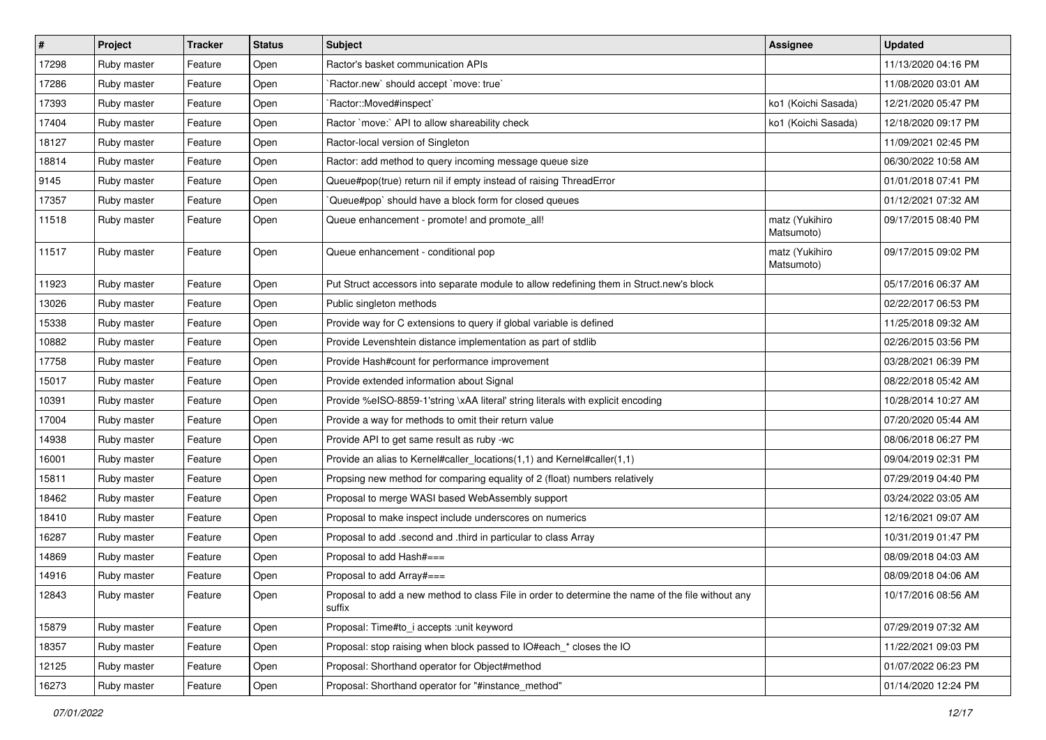| $\vert$ # | Project     | <b>Tracker</b> | <b>Status</b> | <b>Subject</b>                                                                                              | <b>Assignee</b>              | <b>Updated</b>      |
|-----------|-------------|----------------|---------------|-------------------------------------------------------------------------------------------------------------|------------------------------|---------------------|
| 17298     | Ruby master | Feature        | Open          | Ractor's basket communication APIs                                                                          |                              | 11/13/2020 04:16 PM |
| 17286     | Ruby master | Feature        | Open          | `Ractor.new` should accept `move: true`                                                                     |                              | 11/08/2020 03:01 AM |
| 17393     | Ruby master | Feature        | Open          | `Ractor::Moved#inspect`                                                                                     | ko1 (Koichi Sasada)          | 12/21/2020 05:47 PM |
| 17404     | Ruby master | Feature        | Open          | Ractor `move:` API to allow shareability check                                                              | ko1 (Koichi Sasada)          | 12/18/2020 09:17 PM |
| 18127     | Ruby master | Feature        | Open          | Ractor-local version of Singleton                                                                           |                              | 11/09/2021 02:45 PM |
| 18814     | Ruby master | Feature        | Open          | Ractor: add method to query incoming message queue size                                                     |                              | 06/30/2022 10:58 AM |
| 9145      | Ruby master | Feature        | Open          | Queue#pop(true) return nil if empty instead of raising ThreadError                                          |                              | 01/01/2018 07:41 PM |
| 17357     | Ruby master | Feature        | Open          | Queue#pop`should have a block form for closed queues                                                        |                              | 01/12/2021 07:32 AM |
| 11518     | Ruby master | Feature        | Open          | Queue enhancement - promote! and promote_all!                                                               | matz (Yukihiro<br>Matsumoto) | 09/17/2015 08:40 PM |
| 11517     | Ruby master | Feature        | Open          | Queue enhancement - conditional pop                                                                         | matz (Yukihiro<br>Matsumoto) | 09/17/2015 09:02 PM |
| 11923     | Ruby master | Feature        | Open          | Put Struct accessors into separate module to allow redefining them in Struct.new's block                    |                              | 05/17/2016 06:37 AM |
| 13026     | Ruby master | Feature        | Open          | Public singleton methods                                                                                    |                              | 02/22/2017 06:53 PM |
| 15338     | Ruby master | Feature        | Open          | Provide way for C extensions to query if global variable is defined                                         |                              | 11/25/2018 09:32 AM |
| 10882     | Ruby master | Feature        | Open          | Provide Levenshtein distance implementation as part of stdlib                                               |                              | 02/26/2015 03:56 PM |
| 17758     | Ruby master | Feature        | Open          | Provide Hash#count for performance improvement                                                              |                              | 03/28/2021 06:39 PM |
| 15017     | Ruby master | Feature        | Open          | Provide extended information about Signal                                                                   |                              | 08/22/2018 05:42 AM |
| 10391     | Ruby master | Feature        | Open          | Provide %eISO-8859-1'string \xAA literal' string literals with explicit encoding                            |                              | 10/28/2014 10:27 AM |
| 17004     | Ruby master | Feature        | Open          | Provide a way for methods to omit their return value                                                        |                              | 07/20/2020 05:44 AM |
| 14938     | Ruby master | Feature        | Open          | Provide API to get same result as ruby -wc                                                                  |                              | 08/06/2018 06:27 PM |
| 16001     | Ruby master | Feature        | Open          | Provide an alias to Kernel#caller_locations(1,1) and Kernel#caller(1,1)                                     |                              | 09/04/2019 02:31 PM |
| 15811     | Ruby master | Feature        | Open          | Propsing new method for comparing equality of 2 (float) numbers relatively                                  |                              | 07/29/2019 04:40 PM |
| 18462     | Ruby master | Feature        | Open          | Proposal to merge WASI based WebAssembly support                                                            |                              | 03/24/2022 03:05 AM |
| 18410     | Ruby master | Feature        | Open          | Proposal to make inspect include underscores on numerics                                                    |                              | 12/16/2021 09:07 AM |
| 16287     | Ruby master | Feature        | Open          | Proposal to add .second and .third in particular to class Array                                             |                              | 10/31/2019 01:47 PM |
| 14869     | Ruby master | Feature        | Open          | Proposal to add Hash#===                                                                                    |                              | 08/09/2018 04:03 AM |
| 14916     | Ruby master | Feature        | Open          | Proposal to add Array#===                                                                                   |                              | 08/09/2018 04:06 AM |
| 12843     | Ruby master | Feature        | Open          | Proposal to add a new method to class File in order to determine the name of the file without any<br>suffix |                              | 10/17/2016 08:56 AM |
| 15879     | Ruby master | Feature        | Open          | Proposal: Time#to i accepts : unit keyword                                                                  |                              | 07/29/2019 07:32 AM |
| 18357     | Ruby master | Feature        | Open          | Proposal: stop raising when block passed to IO#each * closes the IO                                         |                              | 11/22/2021 09:03 PM |
| 12125     | Ruby master | Feature        | Open          | Proposal: Shorthand operator for Object#method                                                              |                              | 01/07/2022 06:23 PM |
| 16273     | Ruby master | Feature        | Open          | Proposal: Shorthand operator for "#instance_method"                                                         |                              | 01/14/2020 12:24 PM |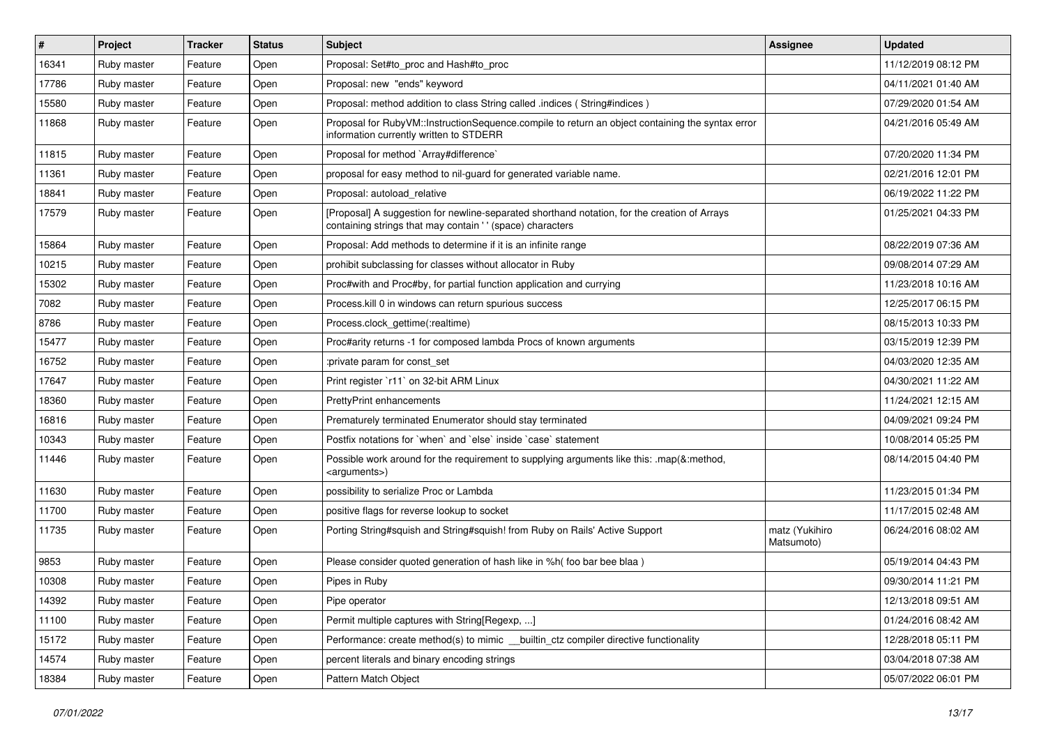| #     | Project     | <b>Tracker</b> | <b>Status</b> | Subject                                                                                                                                                    | <b>Assignee</b>              | <b>Updated</b>      |
|-------|-------------|----------------|---------------|------------------------------------------------------------------------------------------------------------------------------------------------------------|------------------------------|---------------------|
| 16341 | Ruby master | Feature        | Open          | Proposal: Set#to_proc and Hash#to_proc                                                                                                                     |                              | 11/12/2019 08:12 PM |
| 17786 | Ruby master | Feature        | Open          | Proposal: new "ends" keyword                                                                                                                               |                              | 04/11/2021 01:40 AM |
| 15580 | Ruby master | Feature        | Open          | Proposal: method addition to class String called .indices (String#indices)                                                                                 |                              | 07/29/2020 01:54 AM |
| 11868 | Ruby master | Feature        | Open          | Proposal for RubyVM::InstructionSequence.compile to return an object containing the syntax error<br>information currently written to STDERR                |                              | 04/21/2016 05:49 AM |
| 11815 | Ruby master | Feature        | Open          | Proposal for method `Array#difference`                                                                                                                     |                              | 07/20/2020 11:34 PM |
| 11361 | Ruby master | Feature        | Open          | proposal for easy method to nil-guard for generated variable name.                                                                                         |                              | 02/21/2016 12:01 PM |
| 18841 | Ruby master | Feature        | Open          | Proposal: autoload_relative                                                                                                                                |                              | 06/19/2022 11:22 PM |
| 17579 | Ruby master | Feature        | Open          | [Proposal] A suggestion for newline-separated shorthand notation, for the creation of Arrays<br>containing strings that may contain ' ' (space) characters |                              | 01/25/2021 04:33 PM |
| 15864 | Ruby master | Feature        | Open          | Proposal: Add methods to determine if it is an infinite range                                                                                              |                              | 08/22/2019 07:36 AM |
| 10215 | Ruby master | Feature        | Open          | prohibit subclassing for classes without allocator in Ruby                                                                                                 |                              | 09/08/2014 07:29 AM |
| 15302 | Ruby master | Feature        | Open          | Proc#with and Proc#by, for partial function application and currying                                                                                       |                              | 11/23/2018 10:16 AM |
| 7082  | Ruby master | Feature        | Open          | Process. kill 0 in windows can return spurious success                                                                                                     |                              | 12/25/2017 06:15 PM |
| 8786  | Ruby master | Feature        | Open          | Process.clock gettime(:realtime)                                                                                                                           |                              | 08/15/2013 10:33 PM |
| 15477 | Ruby master | Feature        | Open          | Proc#arity returns -1 for composed lambda Procs of known arguments                                                                                         |                              | 03/15/2019 12:39 PM |
| 16752 | Ruby master | Feature        | Open          | :private param for const_set                                                                                                                               |                              | 04/03/2020 12:35 AM |
| 17647 | Ruby master | Feature        | Open          | Print register `r11` on 32-bit ARM Linux                                                                                                                   |                              | 04/30/2021 11:22 AM |
| 18360 | Ruby master | Feature        | Open          | PrettyPrint enhancements                                                                                                                                   |                              | 11/24/2021 12:15 AM |
| 16816 | Ruby master | Feature        | Open          | Prematurely terminated Enumerator should stay terminated                                                                                                   |                              | 04/09/2021 09:24 PM |
| 10343 | Ruby master | Feature        | Open          | Postfix notations for 'when' and 'else' inside 'case' statement                                                                                            |                              | 10/08/2014 05:25 PM |
| 11446 | Ruby master | Feature        | Open          | Possible work around for the requirement to supplying arguments like this: .map(&:method,<br><arguments>)</arguments>                                      |                              | 08/14/2015 04:40 PM |
| 11630 | Ruby master | Feature        | Open          | possibility to serialize Proc or Lambda                                                                                                                    |                              | 11/23/2015 01:34 PM |
| 11700 | Ruby master | Feature        | Open          | positive flags for reverse lookup to socket                                                                                                                |                              | 11/17/2015 02:48 AM |
| 11735 | Ruby master | Feature        | Open          | Porting String#squish and String#squish! from Ruby on Rails' Active Support                                                                                | matz (Yukihiro<br>Matsumoto) | 06/24/2016 08:02 AM |
| 9853  | Ruby master | Feature        | Open          | Please consider quoted generation of hash like in %h( foo bar bee blaa )                                                                                   |                              | 05/19/2014 04:43 PM |
| 10308 | Ruby master | Feature        | Open          | Pipes in Ruby                                                                                                                                              |                              | 09/30/2014 11:21 PM |
| 14392 | Ruby master | Feature        | Open          | Pipe operator                                                                                                                                              |                              | 12/13/2018 09:51 AM |
| 11100 | Ruby master | Feature        | Open          | Permit multiple captures with String[Regexp, ]                                                                                                             |                              | 01/24/2016 08:42 AM |
| 15172 | Ruby master | Feature        | Open          | Performance: create method(s) to mimic __builtin_ctz compiler directive functionality                                                                      |                              | 12/28/2018 05:11 PM |
| 14574 | Ruby master | Feature        | Open          | percent literals and binary encoding strings                                                                                                               |                              | 03/04/2018 07:38 AM |
| 18384 | Ruby master | Feature        | Open          | Pattern Match Object                                                                                                                                       |                              | 05/07/2022 06:01 PM |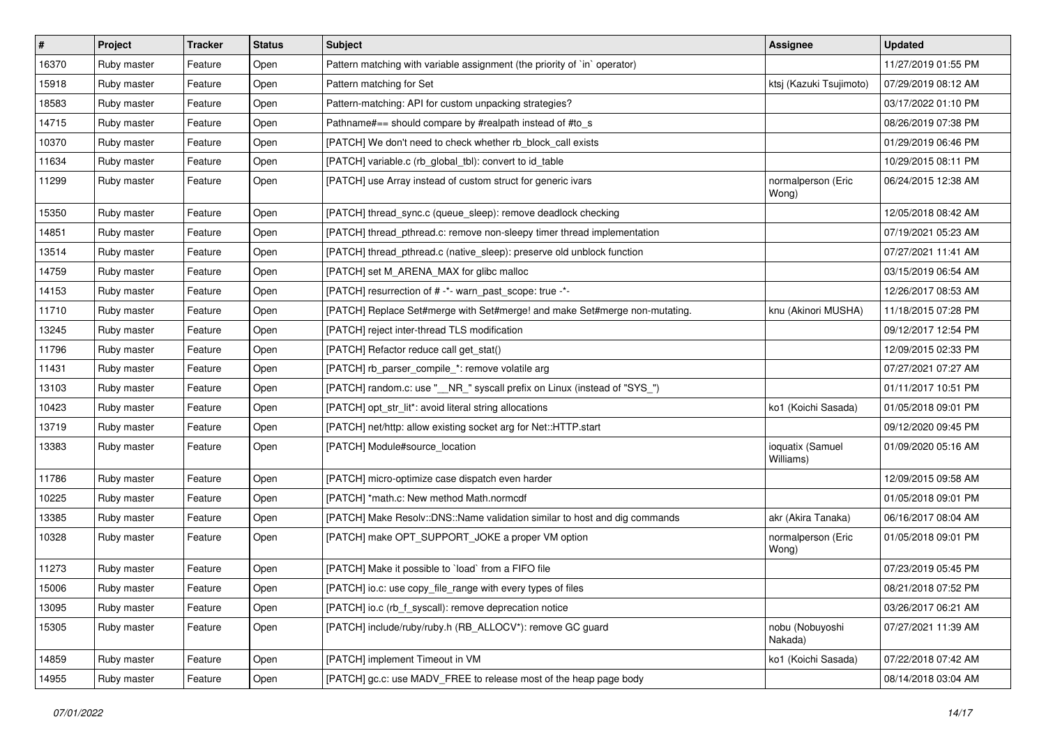| $\vert$ # | Project     | <b>Tracker</b> | <b>Status</b> | <b>Subject</b>                                                             | <b>Assignee</b>               | <b>Updated</b>      |
|-----------|-------------|----------------|---------------|----------------------------------------------------------------------------|-------------------------------|---------------------|
| 16370     | Ruby master | Feature        | Open          | Pattern matching with variable assignment (the priority of `in` operator)  |                               | 11/27/2019 01:55 PM |
| 15918     | Ruby master | Feature        | Open          | Pattern matching for Set                                                   | ktsj (Kazuki Tsujimoto)       | 07/29/2019 08:12 AM |
| 18583     | Ruby master | Feature        | Open          | Pattern-matching: API for custom unpacking strategies?                     |                               | 03/17/2022 01:10 PM |
| 14715     | Ruby master | Feature        | Open          | Pathname#== should compare by #realpath instead of #to_s                   |                               | 08/26/2019 07:38 PM |
| 10370     | Ruby master | Feature        | Open          | [PATCH] We don't need to check whether rb_block_call exists                |                               | 01/29/2019 06:46 PM |
| 11634     | Ruby master | Feature        | Open          | [PATCH] variable.c (rb_global_tbl): convert to id_table                    |                               | 10/29/2015 08:11 PM |
| 11299     | Ruby master | Feature        | Open          | [PATCH] use Array instead of custom struct for generic ivars               | normalperson (Eric<br>Wong)   | 06/24/2015 12:38 AM |
| 15350     | Ruby master | Feature        | Open          | [PATCH] thread_sync.c (queue_sleep): remove deadlock checking              |                               | 12/05/2018 08:42 AM |
| 14851     | Ruby master | Feature        | Open          | [PATCH] thread_pthread.c: remove non-sleepy timer thread implementation    |                               | 07/19/2021 05:23 AM |
| 13514     | Ruby master | Feature        | Open          | [PATCH] thread_pthread.c (native_sleep): preserve old unblock function     |                               | 07/27/2021 11:41 AM |
| 14759     | Ruby master | Feature        | Open          | [PATCH] set M_ARENA_MAX for glibc malloc                                   |                               | 03/15/2019 06:54 AM |
| 14153     | Ruby master | Feature        | Open          | [PATCH] resurrection of # -*- warn_past_scope: true -*-                    |                               | 12/26/2017 08:53 AM |
| 11710     | Ruby master | Feature        | Open          | [PATCH] Replace Set#merge with Set#merge! and make Set#merge non-mutating. | knu (Akinori MUSHA)           | 11/18/2015 07:28 PM |
| 13245     | Ruby master | Feature        | Open          | [PATCH] reject inter-thread TLS modification                               |                               | 09/12/2017 12:54 PM |
| 11796     | Ruby master | Feature        | Open          | [PATCH] Refactor reduce call get_stat()                                    |                               | 12/09/2015 02:33 PM |
| 11431     | Ruby master | Feature        | Open          | [PATCH] rb_parser_compile_*: remove volatile arg                           |                               | 07/27/2021 07:27 AM |
| 13103     | Ruby master | Feature        | Open          | [PATCH] random.c: use "__NR_" syscall prefix on Linux (instead of "SYS_")  |                               | 01/11/2017 10:51 PM |
| 10423     | Ruby master | Feature        | Open          | [PATCH] opt_str_lit*: avoid literal string allocations                     | ko1 (Koichi Sasada)           | 01/05/2018 09:01 PM |
| 13719     | Ruby master | Feature        | Open          | [PATCH] net/http: allow existing socket arg for Net::HTTP.start            |                               | 09/12/2020 09:45 PM |
| 13383     | Ruby master | Feature        | Open          | [PATCH] Module#source_location                                             | ioquatix (Samuel<br>Williams) | 01/09/2020 05:16 AM |
| 11786     | Ruby master | Feature        | Open          | [PATCH] micro-optimize case dispatch even harder                           |                               | 12/09/2015 09:58 AM |
| 10225     | Ruby master | Feature        | Open          | [PATCH] *math.c: New method Math.normcdf                                   |                               | 01/05/2018 09:01 PM |
| 13385     | Ruby master | Feature        | Open          | [PATCH] Make Resolv::DNS::Name validation similar to host and dig commands | akr (Akira Tanaka)            | 06/16/2017 08:04 AM |
| 10328     | Ruby master | Feature        | Open          | [PATCH] make OPT_SUPPORT_JOKE a proper VM option                           | normalperson (Eric<br>Wong)   | 01/05/2018 09:01 PM |
| 11273     | Ruby master | Feature        | Open          | [PATCH] Make it possible to `load` from a FIFO file                        |                               | 07/23/2019 05:45 PM |
| 15006     | Ruby master | Feature        | Open          | [PATCH] io.c: use copy_file_range with every types of files                |                               | 08/21/2018 07:52 PM |
| 13095     | Ruby master | Feature        | Open          | [PATCH] io.c (rb_f_syscall): remove deprecation notice                     |                               | 03/26/2017 06:21 AM |
| 15305     | Ruby master | Feature        | Open          | [PATCH] include/ruby/ruby.h (RB_ALLOCV*): remove GC guard                  | nobu (Nobuyoshi<br>Nakada)    | 07/27/2021 11:39 AM |
| 14859     | Ruby master | Feature        | Open          | [PATCH] implement Timeout in VM                                            | ko1 (Koichi Sasada)           | 07/22/2018 07:42 AM |
| 14955     | Ruby master | Feature        | Open          | [PATCH] gc.c: use MADV_FREE to release most of the heap page body          |                               | 08/14/2018 03:04 AM |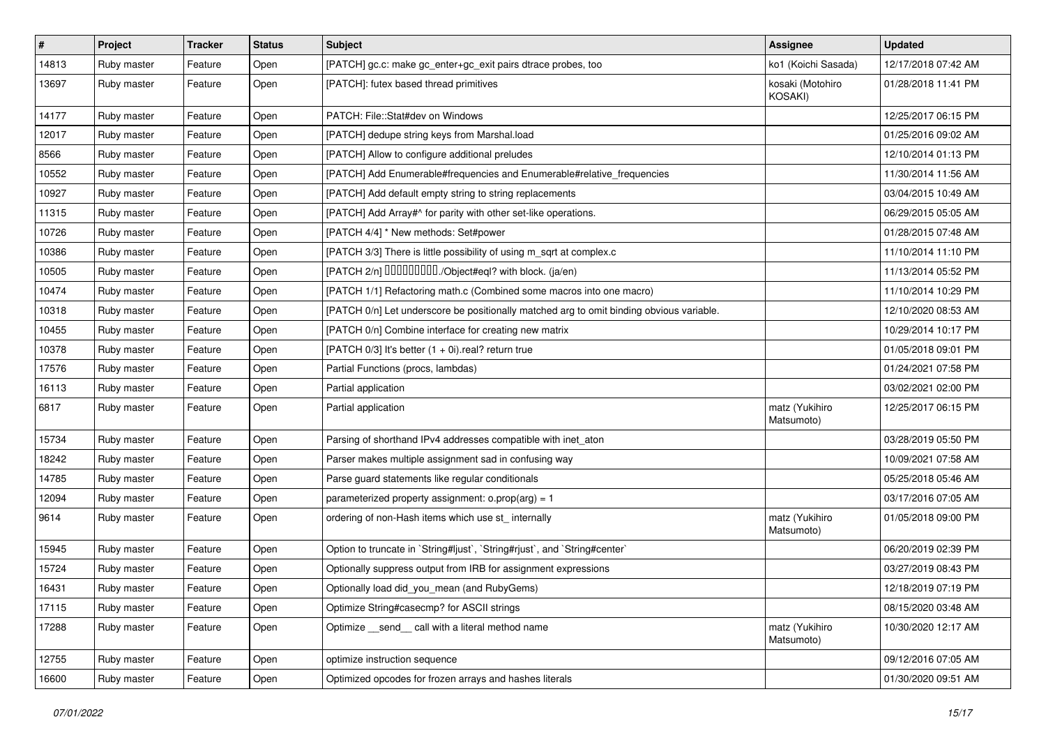| #     | Project     | <b>Tracker</b> | <b>Status</b> | <b>Subject</b>                                                                           | Assignee                     | <b>Updated</b>      |
|-------|-------------|----------------|---------------|------------------------------------------------------------------------------------------|------------------------------|---------------------|
| 14813 | Ruby master | Feature        | Open          | [PATCH] gc.c: make gc_enter+gc_exit pairs dtrace probes, too                             | ko1 (Koichi Sasada)          | 12/17/2018 07:42 AM |
| 13697 | Ruby master | Feature        | Open          | [PATCH]: futex based thread primitives                                                   | kosaki (Motohiro<br>KOSAKI)  | 01/28/2018 11:41 PM |
| 14177 | Ruby master | Feature        | Open          | PATCH: File::Stat#dev on Windows                                                         |                              | 12/25/2017 06:15 PM |
| 12017 | Ruby master | Feature        | Open          | [PATCH] dedupe string keys from Marshal.load                                             |                              | 01/25/2016 09:02 AM |
| 8566  | Ruby master | Feature        | Open          | [PATCH] Allow to configure additional preludes                                           |                              | 12/10/2014 01:13 PM |
| 10552 | Ruby master | Feature        | Open          | [PATCH] Add Enumerable#frequencies and Enumerable#relative_frequencies                   |                              | 11/30/2014 11:56 AM |
| 10927 | Ruby master | Feature        | Open          | [PATCH] Add default empty string to string replacements                                  |                              | 03/04/2015 10:49 AM |
| 11315 | Ruby master | Feature        | Open          | [PATCH] Add Array#^ for parity with other set-like operations.                           |                              | 06/29/2015 05:05 AM |
| 10726 | Ruby master | Feature        | Open          | [PATCH 4/4] * New methods: Set#power                                                     |                              | 01/28/2015 07:48 AM |
| 10386 | Ruby master | Feature        | Open          | [PATCH 3/3] There is little possibility of using m_sqrt at complex.c                     |                              | 11/10/2014 11:10 PM |
| 10505 | Ruby master | Feature        | Open          | [PATCH 2/n] DDDDDDDD./Object#eql? with block. (ja/en)                                    |                              | 11/13/2014 05:52 PM |
| 10474 | Ruby master | Feature        | Open          | [PATCH 1/1] Refactoring math.c (Combined some macros into one macro)                     |                              | 11/10/2014 10:29 PM |
| 10318 | Ruby master | Feature        | Open          | [PATCH 0/n] Let underscore be positionally matched arg to omit binding obvious variable. |                              | 12/10/2020 08:53 AM |
| 10455 | Ruby master | Feature        | Open          | [PATCH 0/n] Combine interface for creating new matrix                                    |                              | 10/29/2014 10:17 PM |
| 10378 | Ruby master | Feature        | Open          | [PATCH 0/3] It's better (1 + 0i).real? return true                                       |                              | 01/05/2018 09:01 PM |
| 17576 | Ruby master | Feature        | Open          | Partial Functions (procs, lambdas)                                                       |                              | 01/24/2021 07:58 PM |
| 16113 | Ruby master | Feature        | Open          | Partial application                                                                      |                              | 03/02/2021 02:00 PM |
| 6817  | Ruby master | Feature        | Open          | Partial application                                                                      | matz (Yukihiro<br>Matsumoto) | 12/25/2017 06:15 PM |
| 15734 | Ruby master | Feature        | Open          | Parsing of shorthand IPv4 addresses compatible with inet_aton                            |                              | 03/28/2019 05:50 PM |
| 18242 | Ruby master | Feature        | Open          | Parser makes multiple assignment sad in confusing way                                    |                              | 10/09/2021 07:58 AM |
| 14785 | Ruby master | Feature        | Open          | Parse guard statements like regular conditionals                                         |                              | 05/25/2018 05:46 AM |
| 12094 | Ruby master | Feature        | Open          | parameterized property assignment: $o.prop(arg) = 1$                                     |                              | 03/17/2016 07:05 AM |
| 9614  | Ruby master | Feature        | Open          | ordering of non-Hash items which use st_ internally                                      | matz (Yukihiro<br>Matsumoto) | 01/05/2018 09:00 PM |
| 15945 | Ruby master | Feature        | Open          | Option to truncate in `String#ljust`, `String#rjust`, and `String#center`                |                              | 06/20/2019 02:39 PM |
| 15724 | Ruby master | Feature        | Open          | Optionally suppress output from IRB for assignment expressions                           |                              | 03/27/2019 08:43 PM |
| 16431 | Ruby master | Feature        | Open          | Optionally load did_you_mean (and RubyGems)                                              |                              | 12/18/2019 07:19 PM |
| 17115 | Ruby master | Feature        | Open          | Optimize String#casecmp? for ASCII strings                                               |                              | 08/15/2020 03:48 AM |
| 17288 | Ruby master | Feature        | Open          | Optimize _send_ call with a literal method name                                          | matz (Yukihiro<br>Matsumoto) | 10/30/2020 12:17 AM |
| 12755 | Ruby master | Feature        | Open          | optimize instruction sequence                                                            |                              | 09/12/2016 07:05 AM |
| 16600 | Ruby master | Feature        | Open          | Optimized opcodes for frozen arrays and hashes literals                                  |                              | 01/30/2020 09:51 AM |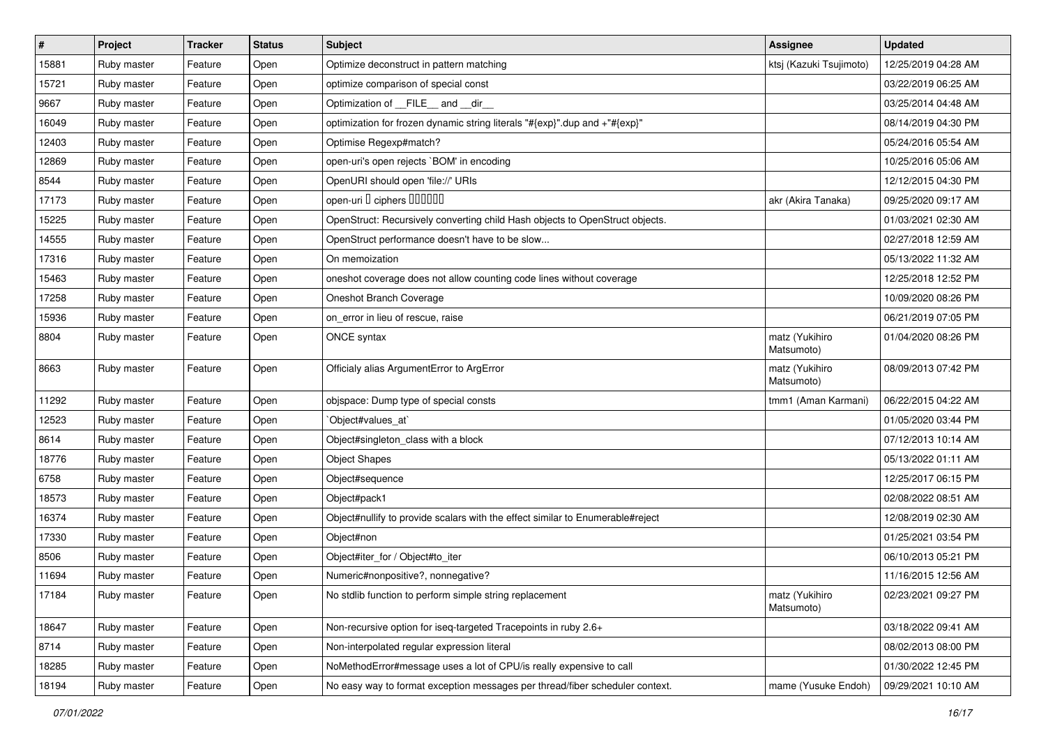| $\vert$ # | Project     | <b>Tracker</b> | <b>Status</b> | <b>Subject</b>                                                                 | <b>Assignee</b>              | <b>Updated</b>      |
|-----------|-------------|----------------|---------------|--------------------------------------------------------------------------------|------------------------------|---------------------|
| 15881     | Ruby master | Feature        | Open          | Optimize deconstruct in pattern matching                                       | ktsj (Kazuki Tsujimoto)      | 12/25/2019 04:28 AM |
| 15721     | Ruby master | Feature        | Open          | optimize comparison of special const                                           |                              | 03/22/2019 06:25 AM |
| 9667      | Ruby master | Feature        | Open          | Optimization of __FILE__ and __dir_                                            |                              | 03/25/2014 04:48 AM |
| 16049     | Ruby master | Feature        | Open          | optimization for frozen dynamic string literals "#{exp}".dup and +"#{exp}"     |                              | 08/14/2019 04:30 PM |
| 12403     | Ruby master | Feature        | Open          | Optimise Regexp#match?                                                         |                              | 05/24/2016 05:54 AM |
| 12869     | Ruby master | Feature        | Open          | open-uri's open rejects `BOM' in encoding                                      |                              | 10/25/2016 05:06 AM |
| 8544      | Ruby master | Feature        | Open          | OpenURI should open 'file://' URIs                                             |                              | 12/12/2015 04:30 PM |
| 17173     | Ruby master | Feature        | Open          | open-uri D ciphers DOOOOO                                                      | akr (Akira Tanaka)           | 09/25/2020 09:17 AM |
| 15225     | Ruby master | Feature        | Open          | OpenStruct: Recursively converting child Hash objects to OpenStruct objects.   |                              | 01/03/2021 02:30 AM |
| 14555     | Ruby master | Feature        | Open          | OpenStruct performance doesn't have to be slow                                 |                              | 02/27/2018 12:59 AM |
| 17316     | Ruby master | Feature        | Open          | On memoization                                                                 |                              | 05/13/2022 11:32 AM |
| 15463     | Ruby master | Feature        | Open          | oneshot coverage does not allow counting code lines without coverage           |                              | 12/25/2018 12:52 PM |
| 17258     | Ruby master | Feature        | Open          | Oneshot Branch Coverage                                                        |                              | 10/09/2020 08:26 PM |
| 15936     | Ruby master | Feature        | Open          | on_error in lieu of rescue, raise                                              |                              | 06/21/2019 07:05 PM |
| 8804      | Ruby master | Feature        | Open          | ONCE syntax                                                                    | matz (Yukihiro<br>Matsumoto) | 01/04/2020 08:26 PM |
| 8663      | Ruby master | Feature        | Open          | Officialy alias ArgumentError to ArgError                                      | matz (Yukihiro<br>Matsumoto) | 08/09/2013 07:42 PM |
| 11292     | Ruby master | Feature        | Open          | objspace: Dump type of special consts                                          | tmm1 (Aman Karmani)          | 06/22/2015 04:22 AM |
| 12523     | Ruby master | Feature        | Open          | `Object#values_at`                                                             |                              | 01/05/2020 03:44 PM |
| 8614      | Ruby master | Feature        | Open          | Object#singleton_class with a block                                            |                              | 07/12/2013 10:14 AM |
| 18776     | Ruby master | Feature        | Open          | <b>Object Shapes</b>                                                           |                              | 05/13/2022 01:11 AM |
| 6758      | Ruby master | Feature        | Open          | Object#sequence                                                                |                              | 12/25/2017 06:15 PM |
| 18573     | Ruby master | Feature        | Open          | Object#pack1                                                                   |                              | 02/08/2022 08:51 AM |
| 16374     | Ruby master | Feature        | Open          | Object#nullify to provide scalars with the effect similar to Enumerable#reject |                              | 12/08/2019 02:30 AM |
| 17330     | Ruby master | Feature        | Open          | Object#non                                                                     |                              | 01/25/2021 03:54 PM |
| 8506      | Ruby master | Feature        | Open          | Object#iter_for / Object#to_iter                                               |                              | 06/10/2013 05:21 PM |
| 11694     | Ruby master | Feature        | Open          | Numeric#nonpositive?, nonnegative?                                             |                              | 11/16/2015 12:56 AM |
| 17184     | Ruby master | Feature        | Open          | No stdlib function to perform simple string replacement                        | matz (Yukihiro<br>Matsumoto) | 02/23/2021 09:27 PM |
| 18647     | Ruby master | Feature        | Open          | Non-recursive option for iseq-targeted Tracepoints in ruby 2.6+                |                              | 03/18/2022 09:41 AM |
| 8714      | Ruby master | Feature        | Open          | Non-interpolated regular expression literal                                    |                              | 08/02/2013 08:00 PM |
| 18285     | Ruby master | Feature        | Open          | NoMethodError#message uses a lot of CPU/is really expensive to call            |                              | 01/30/2022 12:45 PM |
| 18194     | Ruby master | Feature        | Open          | No easy way to format exception messages per thread/fiber scheduler context.   | mame (Yusuke Endoh)          | 09/29/2021 10:10 AM |